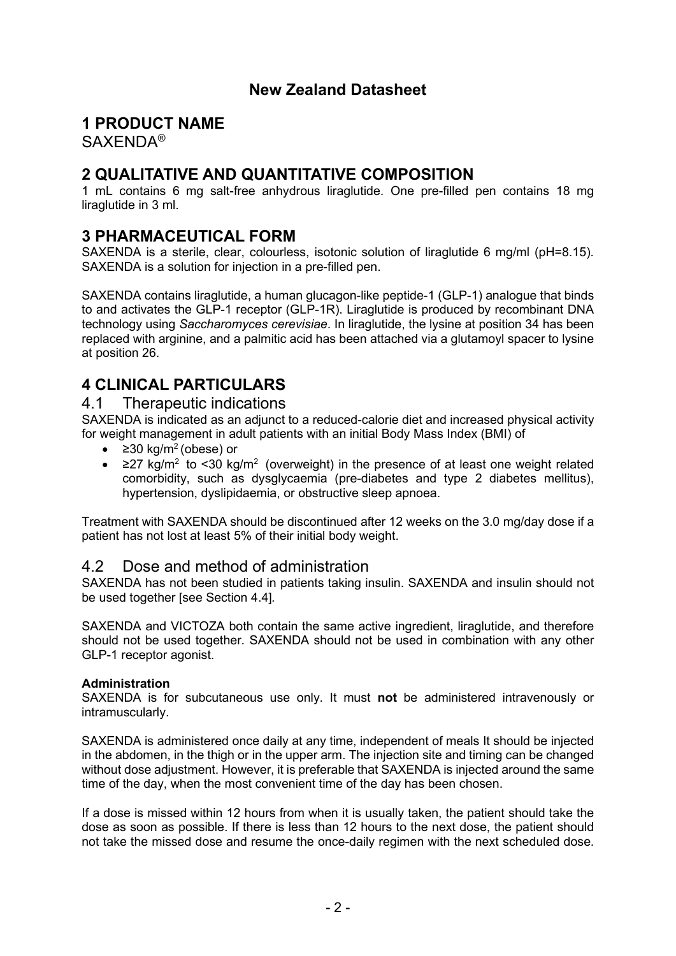# **New Zealand Datasheet**

## **1 PRODUCT NAME**

SAXENDA®

# **2 QUALITATIVE AND QUANTITATIVE COMPOSITION**

1 mL contains 6 mg salt-free anhydrous liraglutide. One pre-filled pen contains 18 mg liraglutide in 3 ml.

## **3 PHARMACEUTICAL FORM**

SAXENDA is a sterile, clear, colourless, isotonic solution of liraglutide 6 mg/ml (pH=8.15). SAXENDA is a solution for injection in a pre-filled pen.

SAXENDA contains liraglutide, a human glucagon-like peptide-1 (GLP-1) analogue that binds to and activates the GLP-1 receptor (GLP-1R). Liraglutide is produced by recombinant DNA technology using *Saccharomyces cerevisiae*. In liraglutide, the lysine at position 34 has been replaced with arginine, and a palmitic acid has been attached via a glutamoyl spacer to lysine at position 26.

# **4 CLINICAL PARTICULARS**

### 4.1 Therapeutic indications

SAXENDA is indicated as an adjunct to a reduced-calorie diet and increased physical activity for weight management in adult patients with an initial Body Mass Index (BMI) of

- $\geq$  230 kg/m<sup>2</sup> (obese) or
- $\geq$ 27 kg/m<sup>2</sup> to <30 kg/m<sup>2</sup> (overweight) in the presence of at least one weight related comorbidity, such as dysglycaemia (pre-diabetes and type 2 diabetes mellitus), hypertension, dyslipidaemia, or obstructive sleep apnoea.

Treatment with SAXENDA should be discontinued after 12 weeks on the 3.0 mg/day dose if a patient has not lost at least 5% of their initial body weight.

## 4.2 Dose and method of administration

SAXENDA has not been studied in patients taking insulin. SAXENDA and insulin should not be used together [see Section 4.4]*.* 

SAXENDA and VICTOZA both contain the same active ingredient, liraglutide, and therefore should not be used together. SAXENDA should not be used in combination with any other GLP-1 receptor agonist.

### **Administration**

SAXENDA is for subcutaneous use only. It must **not** be administered intravenously or intramuscularly.

SAXENDA is administered once daily at any time, independent of meals It should be injected in the abdomen, in the thigh or in the upper arm. The injection site and timing can be changed without dose adjustment. However, it is preferable that SAXENDA is injected around the same time of the day, when the most convenient time of the day has been chosen.

If a dose is missed within 12 hours from when it is usually taken, the patient should take the dose as soon as possible. If there is less than 12 hours to the next dose, the patient should not take the missed dose and resume the once-daily regimen with the next scheduled dose.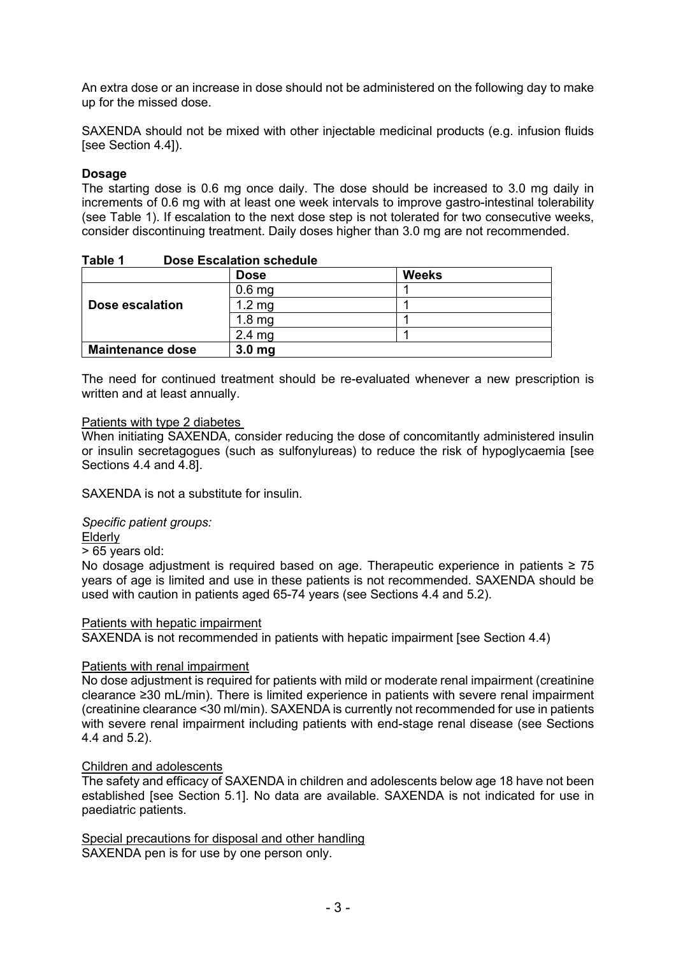An extra dose or an increase in dose should not be administered on the following day to make up for the missed dose.

SAXENDA should not be mixed with other injectable medicinal products (e.g. infusion fluids [see Section 4.4]).

### **Dosage**

The starting dose is 0.6 mg once daily. The dose should be increased to 3.0 mg daily in increments of 0.6 mg with at least one week intervals to improve gastro-intestinal tolerability (see Table 1). If escalation to the next dose step is not tolerated for two consecutive weeks, consider discontinuing treatment. Daily doses higher than 3.0 mg are not recommended.

|                         | <b>Dose</b>       | <b>Weeks</b> |
|-------------------------|-------------------|--------------|
|                         | 0.6 <sub>mg</sub> |              |
| Dose escalation         | 1.2 <sub>mg</sub> |              |
|                         | 1.8 <sub>mq</sub> |              |
|                         | 2.4 <sub>mg</sub> |              |
| <b>Maintenance dose</b> | 3.0 <sub>mg</sub> |              |

| Table 1 | <b>Dose Escalation schedule</b> |  |
|---------|---------------------------------|--|
|         |                                 |  |

The need for continued treatment should be re-evaluated whenever a new prescription is written and at least annually.

### Patients with type 2 diabetes

When initiating SAXENDA, consider reducing the dose of concomitantly administered insulin or insulin secretagogues (such as sulfonylureas) to reduce the risk of hypoglycaemia [see Sections 4.4 and 4.8].

SAXENDA is not a substitute for insulin.

*Specific patient groups:*

Elderly

> 65 years old:

No dosage adjustment is required based on age. Therapeutic experience in patients ≥ 75 years of age is limited and use in these patients is not recommended. SAXENDA should be used with caution in patients aged 65-74 years (see Sections 4.4 and 5.2).

#### Patients with hepatic impairment

SAXENDA is not recommended in patients with hepatic impairment [see Section 4.4)

#### Patients with renal impairment

No dose adjustment is required for patients with mild or moderate renal impairment (creatinine clearance ≥30 mL/min). There is limited experience in patients with severe renal impairment (creatinine clearance <30 ml/min). SAXENDA is currently not recommended for use in patients with severe renal impairment including patients with end-stage renal disease (see Sections 4.4 and 5.2).

#### Children and adolescents

The safety and efficacy of SAXENDA in children and adolescents below age 18 have not been established [see Section 5.1]. No data are available. SAXENDA is not indicated for use in paediatric patients.

Special precautions for disposal and other handling SAXENDA pen is for use by one person only.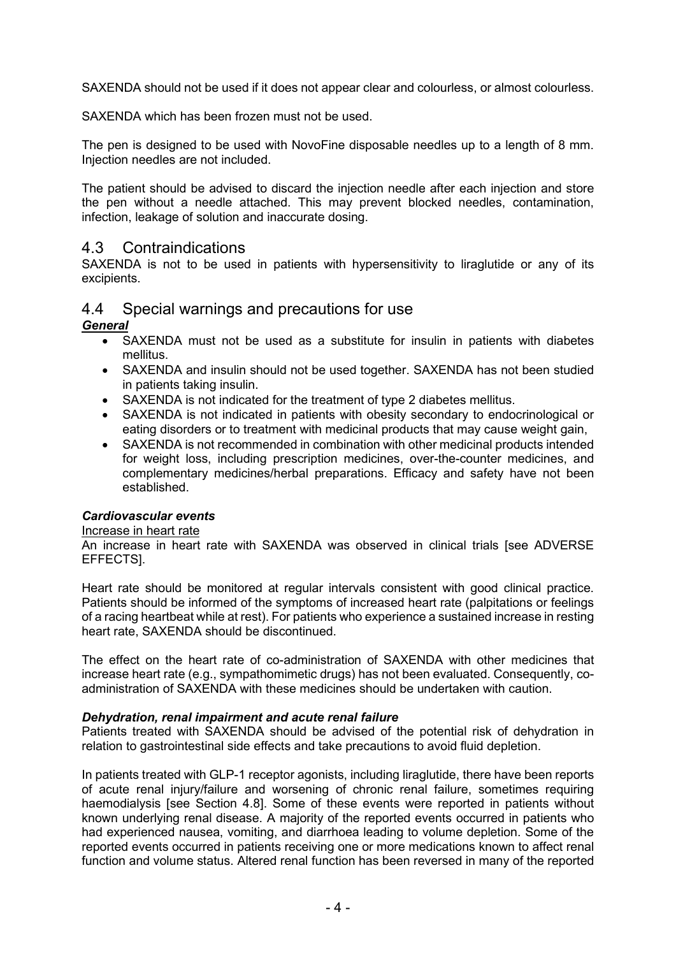SAXENDA should not be used if it does not appear clear and colourless, or almost colourless.

SAXENDA which has been frozen must not be used.

The pen is designed to be used with NovoFine disposable needles up to a length of 8 mm. Injection needles are not included.

The patient should be advised to discard the injection needle after each injection and store the pen without a needle attached. This may prevent blocked needles, contamination, infection, leakage of solution and inaccurate dosing.

### 4.3 Contraindications

SAXENDA is not to be used in patients with hypersensitivity to liraglutide or any of its excipients.

# 4.4 Special warnings and precautions for use

*General*

- SAXENDA must not be used as a substitute for insulin in patients with diabetes mellitus.
- SAXENDA and insulin should not be used together. SAXENDA has not been studied in patients taking insulin.
- SAXENDA is not indicated for the treatment of type 2 diabetes mellitus.
- SAXENDA is not indicated in patients with obesity secondary to endocrinological or eating disorders or to treatment with medicinal products that may cause weight gain,
- SAXENDA is not recommended in combination with other medicinal products intended for weight loss, including prescription medicines, over-the-counter medicines, and complementary medicines/herbal preparations. Efficacy and safety have not been established.

### *Cardiovascular events*

#### Increase in heart rate

An increase in heart rate with SAXENDA was observed in clinical trials [see ADVERSE EFFECTS].

Heart rate should be monitored at regular intervals consistent with good clinical practice. Patients should be informed of the symptoms of increased heart rate (palpitations or feelings of a racing heartbeat while at rest). For patients who experience a sustained increase in resting heart rate, SAXENDA should be discontinued.

The effect on the heart rate of co-administration of SAXENDA with other medicines that increase heart rate (e.g., sympathomimetic drugs) has not been evaluated. Consequently, coadministration of SAXENDA with these medicines should be undertaken with caution.

### *Dehydration, renal impairment and acute renal failure*

Patients treated with SAXENDA should be advised of the potential risk of dehydration in relation to gastrointestinal side effects and take precautions to avoid fluid depletion.

In patients treated with GLP-1 receptor agonists, including liraglutide, there have been reports of acute renal injury/failure and worsening of chronic renal failure, sometimes requiring haemodialysis [see Section 4.8]. Some of these events were reported in patients without known underlying renal disease. A majority of the reported events occurred in patients who had experienced nausea, vomiting, and diarrhoea leading to volume depletion. Some of the reported events occurred in patients receiving one or more medications known to affect renal function and volume status. Altered renal function has been reversed in many of the reported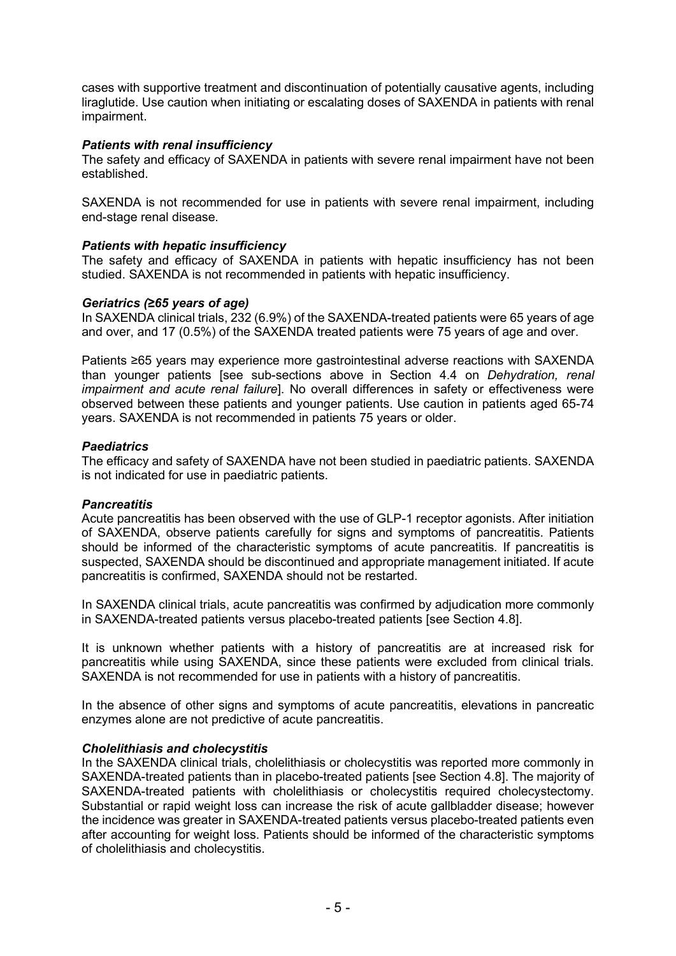cases with supportive treatment and discontinuation of potentially causative agents, including liraglutide. Use caution when initiating or escalating doses of SAXENDA in patients with renal impairment.

### *Patients with renal insufficiency*

The safety and efficacy of SAXENDA in patients with severe renal impairment have not been established.

SAXENDA is not recommended for use in patients with severe renal impairment, including end-stage renal disease.

### *Patients with hepatic insufficiency*

The safety and efficacy of SAXENDA in patients with hepatic insufficiency has not been studied. SAXENDA is not recommended in patients with hepatic insufficiency.

#### *Geriatrics (≥65 years of age)*

In SAXENDA clinical trials, 232 (6.9%) of the SAXENDA-treated patients were 65 years of age and over, and 17 (0.5%) of the SAXENDA treated patients were 75 years of age and over.

Patients ≥65 years may experience more gastrointestinal adverse reactions with SAXENDA than younger patients [see sub-sections above in Section 4.4 on *Dehydration, renal impairment and acute renal failure*]. No overall differences in safety or effectiveness were observed between these patients and younger patients. Use caution in patients aged 65-74 years. SAXENDA is not recommended in patients 75 years or older.

### *Paediatrics*

The efficacy and safety of SAXENDA have not been studied in paediatric patients. SAXENDA is not indicated for use in paediatric patients.

#### *Pancreatitis*

Acute pancreatitis has been observed with the use of GLP-1 receptor agonists. After initiation of SAXENDA, observe patients carefully for signs and symptoms of pancreatitis. Patients should be informed of the characteristic symptoms of acute pancreatitis. If pancreatitis is suspected, SAXENDA should be discontinued and appropriate management initiated. If acute pancreatitis is confirmed, SAXENDA should not be restarted.

In SAXENDA clinical trials, acute pancreatitis was confirmed by adjudication more commonly in SAXENDA-treated patients versus placebo-treated patients [see Section 4.8].

It is unknown whether patients with a history of pancreatitis are at increased risk for pancreatitis while using SAXENDA, since these patients were excluded from clinical trials. SAXENDA is not recommended for use in patients with a history of pancreatitis.

In the absence of other signs and symptoms of acute pancreatitis, elevations in pancreatic enzymes alone are not predictive of acute pancreatitis.

### *Cholelithiasis and cholecystitis*

In the SAXENDA clinical trials, cholelithiasis or cholecystitis was reported more commonly in SAXENDA-treated patients than in placebo-treated patients [see Section 4.8]. The majority of SAXENDA-treated patients with cholelithiasis or cholecystitis required cholecystectomy. Substantial or rapid weight loss can increase the risk of acute gallbladder disease; however the incidence was greater in SAXENDA-treated patients versus placebo-treated patients even after accounting for weight loss. Patients should be informed of the characteristic symptoms of cholelithiasis and cholecystitis.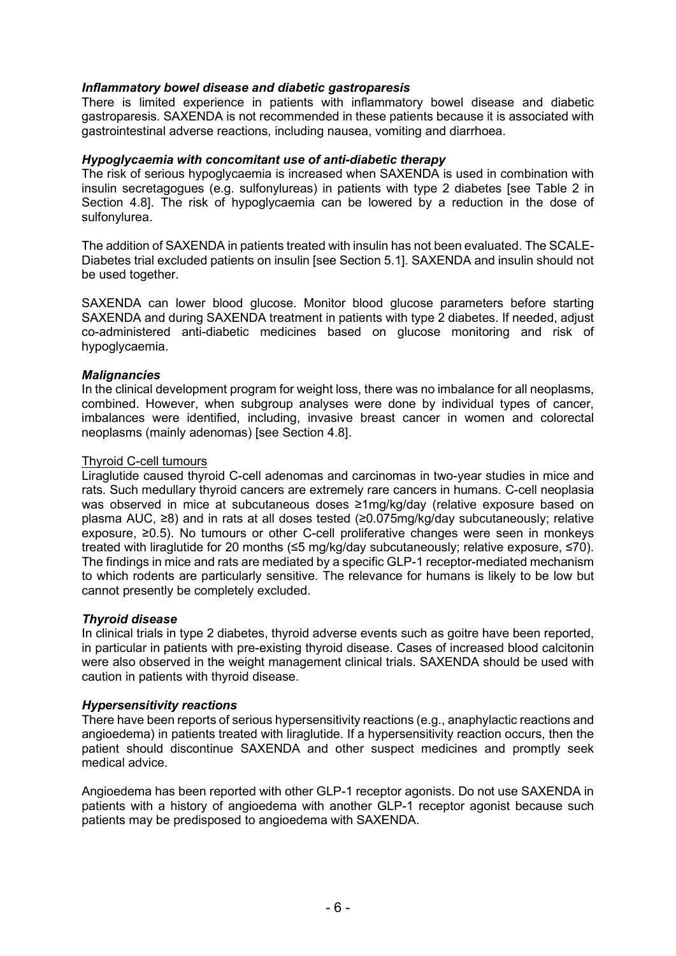### *Inflammatory bowel disease and diabetic gastroparesis*

There is limited experience in patients with inflammatory bowel disease and diabetic gastroparesis. SAXENDA is not recommended in these patients because it is associated with gastrointestinal adverse reactions, including nausea, vomiting and diarrhoea.

### *Hypoglycaemia with concomitant use of anti-diabetic therapy*

The risk of serious hypoglycaemia is increased when SAXENDA is used in combination with insulin secretagogues (e.g. sulfonylureas) in patients with type 2 diabetes [see Table 2 in Section 4.8]. The risk of hypoglycaemia can be lowered by a reduction in the dose of sulfonylurea.

The addition of SAXENDA in patients treated with insulin has not been evaluated. The SCALE-Diabetes trial excluded patients on insulin [see Section 5.1]. SAXENDA and insulin should not be used together.

SAXENDA can lower blood glucose. Monitor blood glucose parameters before starting SAXENDA and during SAXENDA treatment in patients with type 2 diabetes. If needed, adjust co-administered anti-diabetic medicines based on glucose monitoring and risk of hypoglycaemia.

### *Malignancies*

In the clinical development program for weight loss, there was no imbalance for all neoplasms, combined. However, when subgroup analyses were done by individual types of cancer, imbalances were identified, including, invasive breast cancer in women and colorectal neoplasms (mainly adenomas) [see Section 4.8].

### Thyroid C-cell tumours

Liraglutide caused thyroid C-cell adenomas and carcinomas in two-year studies in mice and rats. Such medullary thyroid cancers are extremely rare cancers in humans. C-cell neoplasia was observed in mice at subcutaneous doses ≥1mg/kg/day (relative exposure based on plasma AUC, ≥8) and in rats at all doses tested (≥0.075mg/kg/day subcutaneously; relative exposure, ≥0.5). No tumours or other C-cell proliferative changes were seen in monkeys treated with liraglutide for 20 months (≤5 mg/kg/day subcutaneously; relative exposure, ≤70). The findings in mice and rats are mediated by a specific GLP-1 receptor-mediated mechanism to which rodents are particularly sensitive. The relevance for humans is likely to be low but cannot presently be completely excluded.

### *Thyroid disease*

In clinical trials in type 2 diabetes, thyroid adverse events such as goitre have been reported, in particular in patients with pre-existing thyroid disease. Cases of increased blood calcitonin were also observed in the weight management clinical trials. SAXENDA should be used with caution in patients with thyroid disease.

### *Hypersensitivity reactions*

There have been reports of serious hypersensitivity reactions (e.g., anaphylactic reactions and angioedema) in patients treated with liraglutide. If a hypersensitivity reaction occurs, then the patient should discontinue SAXENDA and other suspect medicines and promptly seek medical advice.

Angioedema has been reported with other GLP-1 receptor agonists. Do not use SAXENDA in patients with a history of angioedema with another GLP-1 receptor agonist because such patients may be predisposed to angioedema with SAXENDA.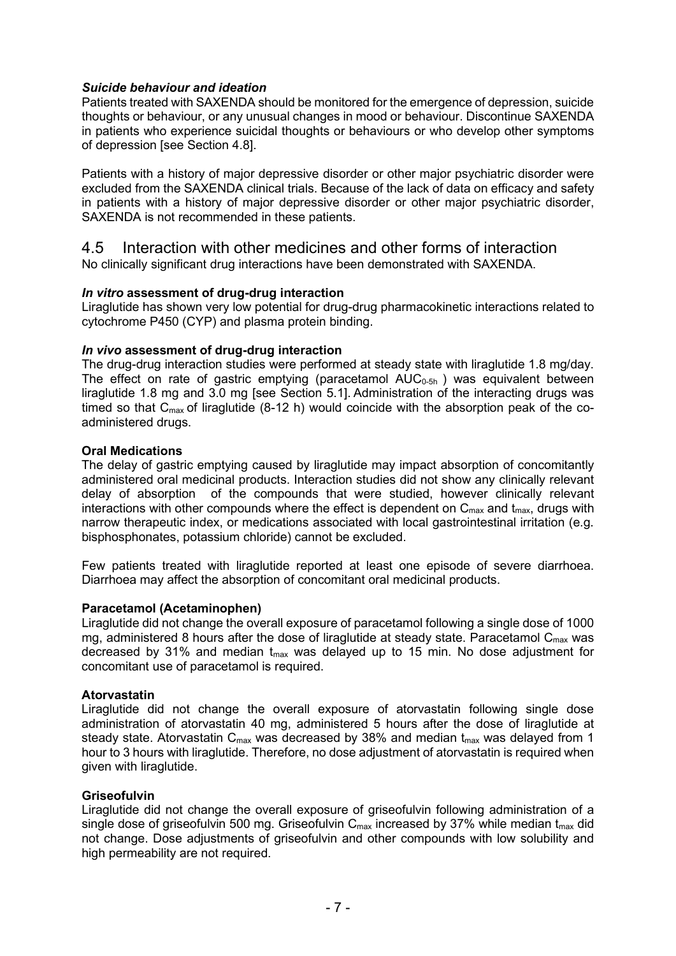### *Suicide behaviour and ideation*

Patients treated with SAXENDA should be monitored for the emergence of depression, suicide thoughts or behaviour, or any unusual changes in mood or behaviour. Discontinue SAXENDA in patients who experience suicidal thoughts or behaviours or who develop other symptoms of depression [see Section 4.8].

Patients with a history of major depressive disorder or other major psychiatric disorder were excluded from the SAXENDA clinical trials. Because of the lack of data on efficacy and safety in patients with a history of major depressive disorder or other major psychiatric disorder, SAXENDA is not recommended in these patients.

### 4.5 Interaction with other medicines and other forms of interaction No clinically significant drug interactions have been demonstrated with SAXENDA.

### *In vitro* **assessment of drug-drug interaction**

Liraglutide has shown very low potential for drug-drug pharmacokinetic interactions related to cytochrome P450 (CYP) and plasma protein binding.

### *In vivo* **assessment of drug-drug interaction**

The drug-drug interaction studies were performed at steady state with liraglutide 1.8 mg/day. The effect on rate of gastric emptying (paracetamol  $AUC_{0.5h}$ ) was equivalent between liraglutide 1.8 mg and 3.0 mg [see Section 5.1]. Administration of the interacting drugs was timed so that  $C_{\text{max}}$  of liraglutide (8-12 h) would coincide with the absorption peak of the coadministered drugs.

### **Oral Medications**

The delay of gastric emptying caused by liraglutide may impact absorption of concomitantly administered oral medicinal products. Interaction studies did not show any clinically relevant delay of absorption of the compounds that were studied, however clinically relevant interactions with other compounds where the effect is dependent on  $C_{\text{max}}$  and  $t_{\text{max}}$ , drugs with narrow therapeutic index, or medications associated with local gastrointestinal irritation (e.g. bisphosphonates, potassium chloride) cannot be excluded.

Few patients treated with liraglutide reported at least one episode of severe diarrhoea. Diarrhoea may affect the absorption of concomitant oral medicinal products.

### **Paracetamol (Acetaminophen)**

Liraglutide did not change the overall exposure of paracetamol following a single dose of 1000 mg, administered 8 hours after the dose of liraglutide at steady state. Paracetamol  $C_{\text{max}}$  was decreased by 31% and median  $t_{max}$  was delayed up to 15 min. No dose adjustment for concomitant use of paracetamol is required.

#### **Atorvastatin**

Liraglutide did not change the overall exposure of atorvastatin following single dose administration of atorvastatin 40 mg, administered 5 hours after the dose of liraglutide at steady state. Atorvastatin  $C_{\text{max}}$  was decreased by 38% and median  $t_{\text{max}}$  was delayed from 1 hour to 3 hours with liraglutide. Therefore, no dose adjustment of atorvastatin is required when given with liraglutide.

#### **Griseofulvin**

Liraglutide did not change the overall exposure of griseofulvin following administration of a single dose of griseofulvin 500 mg. Griseofulvin  $C_{\text{max}}$  increased by 37% while median  $t_{\text{max}}$  did not change. Dose adjustments of griseofulvin and other compounds with low solubility and high permeability are not required.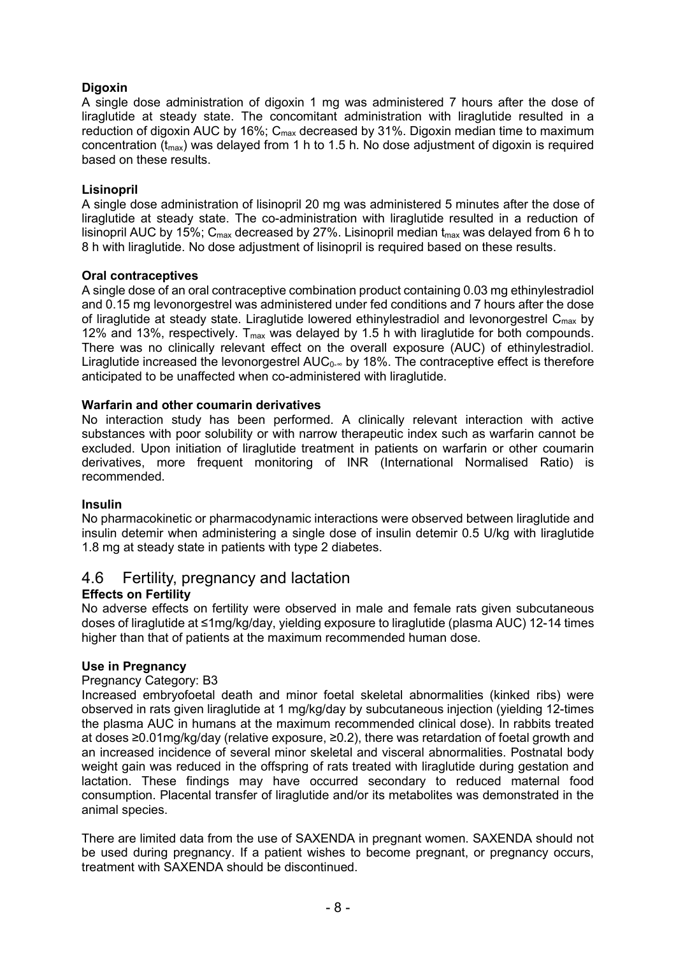## **Digoxin**

A single dose administration of digoxin 1 mg was administered 7 hours after the dose of liraglutide at steady state. The concomitant administration with liraglutide resulted in a reduction of digoxin AUC by 16%;  $C_{\text{max}}$  decreased by 31%. Digoxin median time to maximum concentration  $(t_{\text{max}})$  was delayed from 1 h to 1.5 h. No dose adjustment of digoxin is required based on these results.

### **Lisinopril**

A single dose administration of lisinopril 20 mg was administered 5 minutes after the dose of liraglutide at steady state. The co-administration with liraglutide resulted in a reduction of lisinopril AUC by 15%;  $C_{\text{max}}$  decreased by 27%. Lisinopril median  $t_{\text{max}}$  was delayed from 6 h to 8 h with liraglutide. No dose adjustment of lisinopril is required based on these results.

### **Oral contraceptives**

A single dose of an oral contraceptive combination product containing 0.03 mg ethinylestradiol and 0.15 mg levonorgestrel was administered under fed conditions and 7 hours after the dose of liraglutide at steady state. Liraglutide lowered ethinylestradiol and levonorgestrel  $C_{\text{max}}$  by 12% and 13%, respectively.  $T_{max}$  was delayed by 1.5 h with liraglutide for both compounds. There was no clinically relevant effect on the overall exposure (AUC) of ethinylestradiol. Liraglutide increased the levonorgestrel  $AUC_{0- $\infty}$  by 18%. The contraceptive effect is therefore$ anticipated to be unaffected when co-administered with liraglutide.

### **Warfarin and other coumarin derivatives**

No interaction study has been performed. A clinically relevant interaction with active substances with poor solubility or with narrow therapeutic index such as warfarin cannot be excluded. Upon initiation of liraglutide treatment in patients on warfarin or other coumarin derivatives, more frequent monitoring of INR (International Normalised Ratio) is recommended.

### **Insulin**

No pharmacokinetic or pharmacodynamic interactions were observed between liraglutide and insulin detemir when administering a single dose of insulin detemir 0.5 U/kg with liraglutide 1.8 mg at steady state in patients with type 2 diabetes.

## 4.6 Fertility, pregnancy and lactation

### **Effects on Fertility**

No adverse effects on fertility were observed in male and female rats given subcutaneous doses of liraglutide at ≤1mg/kg/day, yielding exposure to liraglutide (plasma AUC) 12-14 times higher than that of patients at the maximum recommended human dose.

### **Use in Pregnancy**

### Pregnancy Category: B3

Increased embryofoetal death and minor foetal skeletal abnormalities (kinked ribs) were observed in rats given liraglutide at 1 mg/kg/day by subcutaneous injection (yielding 12-times the plasma AUC in humans at the maximum recommended clinical dose). In rabbits treated at doses ≥0.01mg/kg/day (relative exposure, ≥0.2), there was retardation of foetal growth and an increased incidence of several minor skeletal and visceral abnormalities. Postnatal body weight gain was reduced in the offspring of rats treated with liraglutide during gestation and lactation. These findings may have occurred secondary to reduced maternal food consumption. Placental transfer of liraglutide and/or its metabolites was demonstrated in the animal species.

There are limited data from the use of SAXENDA in pregnant women. SAXENDA should not be used during pregnancy. If a patient wishes to become pregnant, or pregnancy occurs, treatment with SAXENDA should be discontinued.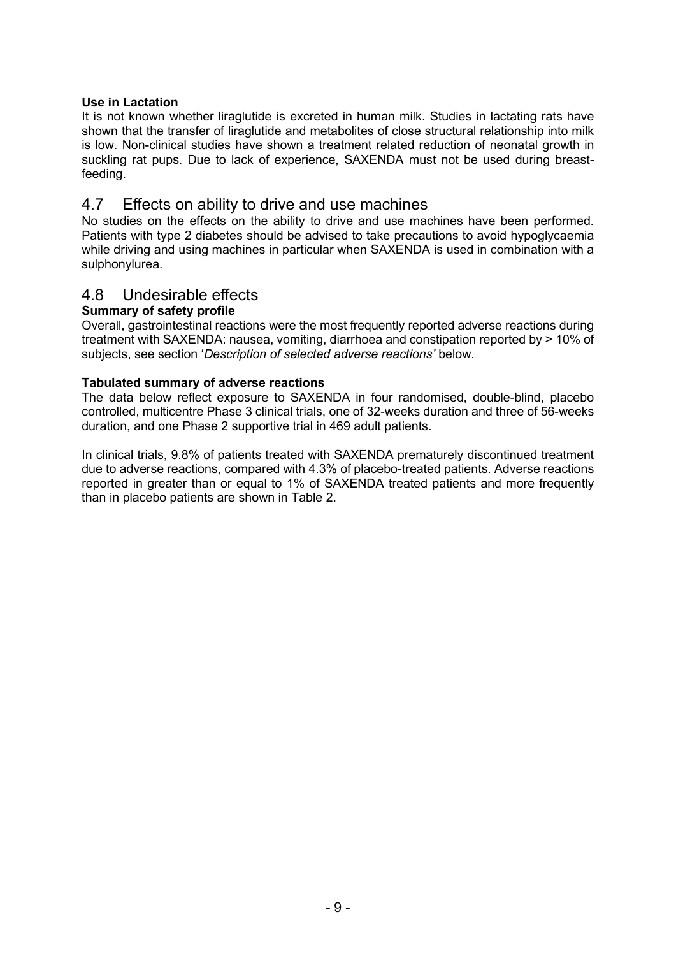### **Use in Lactation**

It is not known whether liraglutide is excreted in human milk. Studies in lactating rats have shown that the transfer of liraglutide and metabolites of close structural relationship into milk is low. Non-clinical studies have shown a treatment related reduction of neonatal growth in suckling rat pups. Due to lack of experience, SAXENDA must not be used during breastfeeding.

## 4.7 Effects on ability to drive and use machines

No studies on the effects on the ability to drive and use machines have been performed. Patients with type 2 diabetes should be advised to take precautions to avoid hypoglycaemia while driving and using machines in particular when SAXENDA is used in combination with a sulphonylurea.

## 4.8 Undesirable effects

### **Summary of safety profile**

Overall, gastrointestinal reactions were the most frequently reported adverse reactions during treatment with SAXENDA: nausea, vomiting, diarrhoea and constipation reported by > 10% of subjects, see section '*Description of selected adverse reactions'* below.

### **Tabulated summary of adverse reactions**

The data below reflect exposure to SAXENDA in four randomised, double-blind, placebo controlled, multicentre Phase 3 clinical trials, one of 32-weeks duration and three of 56-weeks duration, and one Phase 2 supportive trial in 469 adult patients.

In clinical trials, 9.8% of patients treated with SAXENDA prematurely discontinued treatment due to adverse reactions, compared with 4.3% of placebo-treated patients. Adverse reactions reported in greater than or equal to 1% of SAXENDA treated patients and more frequently than in placebo patients are shown in Table 2.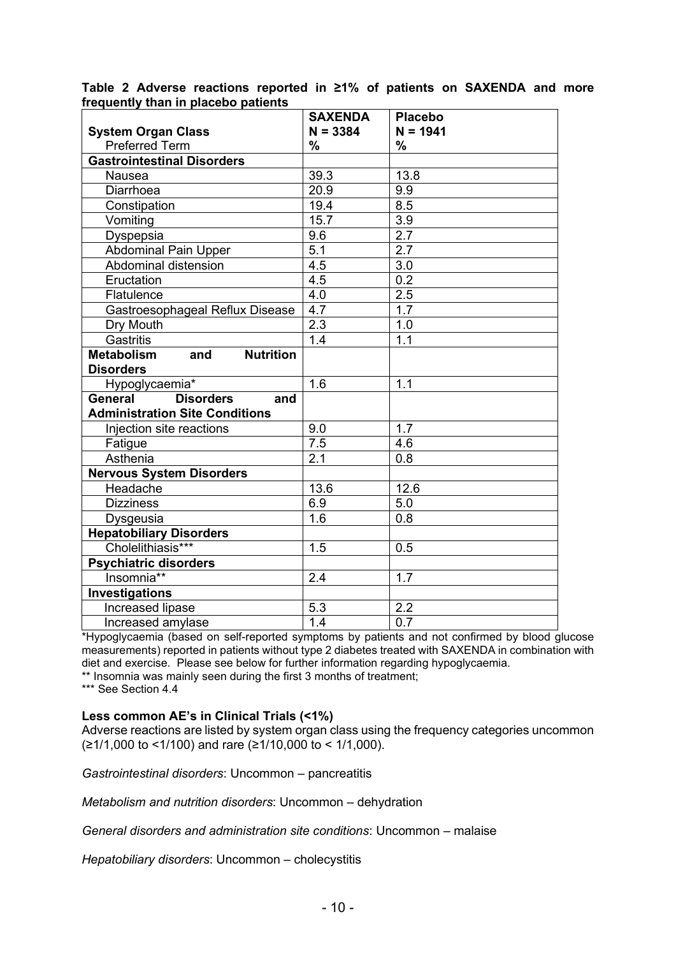|                                              | <b>SAXENDA</b>   | <b>Placebo</b>   |
|----------------------------------------------|------------------|------------------|
| <b>System Organ Class</b>                    | $N = 3384$       | $N = 1941$       |
| <b>Preferred Term</b>                        | %                | %                |
| <b>Gastrointestinal Disorders</b>            |                  |                  |
| Nausea                                       | 39.3             | 13.8             |
| Diarrhoea                                    | 20.9             | 9.9              |
| Constipation                                 | 19.4             | 8.5              |
| Vomiting                                     | 15.7             | 3.9              |
| Dyspepsia                                    | 9.6              | 2.7              |
| <b>Abdominal Pain Upper</b>                  | 5.1              | 2.7              |
| Abdominal distension                         | $\overline{4.5}$ | $\overline{3.0}$ |
| Eructation                                   | 4.5              | $0.\overline{2}$ |
| Flatulence                                   | 4.0              | 2.5              |
| Gastroesophageal Reflux Disease              | 4.7              | 1.7              |
| Dry Mouth                                    | 2.3              | 1.0              |
| <b>Gastritis</b>                             | 1.4              | 1.1              |
| <b>Metabolism</b><br>and<br><b>Nutrition</b> |                  |                  |
| <b>Disorders</b>                             |                  |                  |
| Hypoglycaemia*                               | 1.6              | 1.1              |
| <b>Disorders</b><br>General<br>and           |                  |                  |
| <b>Administration Site Conditions</b>        |                  |                  |
| Injection site reactions                     | 9.0              | 1.7              |
| Fatigue                                      | 7.5              | 4.6              |
| Asthenia                                     | 2.1              | 0.8              |
| <b>Nervous System Disorders</b>              |                  |                  |
| Headache                                     | 13.6             | 12.6             |
| <b>Dizziness</b>                             | 6.9              | 5.0              |
| Dysgeusia                                    | 1.6              | 0.8              |
| <b>Hepatobiliary Disorders</b>               |                  |                  |
| Cholelithiasis***                            | 1.5              | 0.5              |
| <b>Psychiatric disorders</b>                 |                  |                  |
| Insomnia**                                   | 2.4              | 1.7              |
| Investigations                               |                  |                  |
| Increased lipase                             | 5.3              | 2.2              |
| Increased amylase                            | $\overline{1.4}$ | $\overline{0.7}$ |

### **Table 2 Adverse reactions reported in ≥1% of patients on SAXENDA and more frequently than in placebo patients**

\*Hypoglycaemia (based on self-reported symptoms by patients and not confirmed by blood glucose measurements) reported in patients without type 2 diabetes treated with SAXENDA in combination with diet and exercise. Please see below for further information regarding hypoglycaemia.

\*\* Insomnia was mainly seen during the first 3 months of treatment;

\*\*\* See Section 4.4

### **Less common AE's in Clinical Trials (<1%)**

Adverse reactions are listed by system organ class using the frequency categories uncommon (≥1/1,000 to <1/100) and rare (≥1/10,000 to < 1/1,000).

*Gastrointestinal disorders*: Uncommon – pancreatitis

*Metabolism and nutrition disorders*: Uncommon – dehydration

*General disorders and administration site conditions*: Uncommon – malaise

*Hepatobiliary disorders*: Uncommon – cholecystitis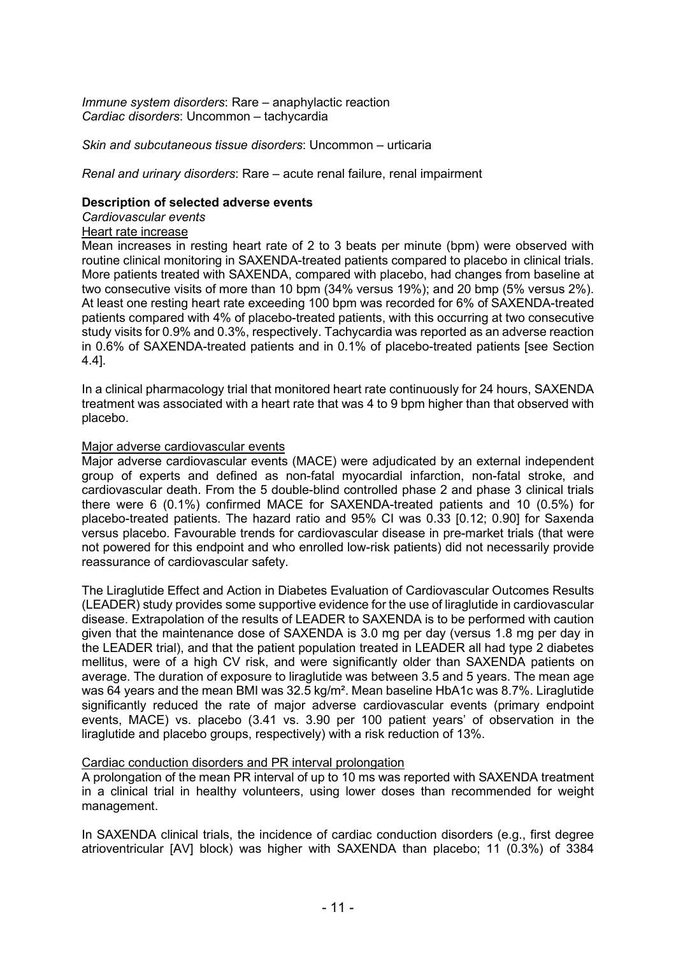*Immune system disorders*: Rare – anaphylactic reaction *Cardiac disorders*: Uncommon – tachycardia

*Skin and subcutaneous tissue disorders*: Uncommon – urticaria

*Renal and urinary disorders*: Rare – acute renal failure, renal impairment

#### **Description of selected adverse events**

*Cardiovascular events*

### Heart rate increase

Mean increases in resting heart rate of 2 to 3 beats per minute (bpm) were observed with routine clinical monitoring in SAXENDA-treated patients compared to placebo in clinical trials. More patients treated with SAXENDA, compared with placebo, had changes from baseline at two consecutive visits of more than 10 bpm (34% versus 19%); and 20 bmp (5% versus 2%). At least one resting heart rate exceeding 100 bpm was recorded for 6% of SAXENDA-treated patients compared with 4% of placebo-treated patients, with this occurring at two consecutive study visits for 0.9% and 0.3%, respectively. Tachycardia was reported as an adverse reaction in 0.6% of SAXENDA-treated patients and in 0.1% of placebo-treated patients [see Section 4.4].

In a clinical pharmacology trial that monitored heart rate continuously for 24 hours, SAXENDA treatment was associated with a heart rate that was 4 to 9 bpm higher than that observed with placebo.

### Major adverse cardiovascular events

Major adverse cardiovascular events (MACE) were adjudicated by an external independent group of experts and defined as non-fatal myocardial infarction, non-fatal stroke, and cardiovascular death. From the 5 double-blind controlled phase 2 and phase 3 clinical trials there were 6 (0.1%) confirmed MACE for SAXENDA-treated patients and 10 (0.5%) for placebo-treated patients. The hazard ratio and 95% CI was 0.33 [0.12; 0.90] for Saxenda versus placebo. Favourable trends for cardiovascular disease in pre-market trials (that were not powered for this endpoint and who enrolled low-risk patients) did not necessarily provide reassurance of cardiovascular safety.

The Liraglutide Effect and Action in Diabetes Evaluation of Cardiovascular Outcomes Results (LEADER) study provides some supportive evidence for the use of liraglutide in cardiovascular disease. Extrapolation of the results of LEADER to SAXENDA is to be performed with caution given that the maintenance dose of SAXENDA is 3.0 mg per day (versus 1.8 mg per day in the LEADER trial), and that the patient population treated in LEADER all had type 2 diabetes mellitus, were of a high CV risk, and were significantly older than SAXENDA patients on average. The duration of exposure to liraglutide was between 3.5 and 5 years. The mean age was 64 years and the mean BMI was 32.5 kg/m². Mean baseline HbA1c was 8.7%. Liraglutide significantly reduced the rate of major adverse cardiovascular events (primary endpoint events, MACE) vs. placebo (3.41 vs. 3.90 per 100 patient years' of observation in the liraglutide and placebo groups, respectively) with a risk reduction of 13%.

### Cardiac conduction disorders and PR interval prolongation

A prolongation of the mean PR interval of up to 10 ms was reported with SAXENDA treatment in a clinical trial in healthy volunteers, using lower doses than recommended for weight management.

In SAXENDA clinical trials, the incidence of cardiac conduction disorders (e.g., first degree atrioventricular [AV] block) was higher with SAXENDA than placebo; 11 (0.3%) of 3384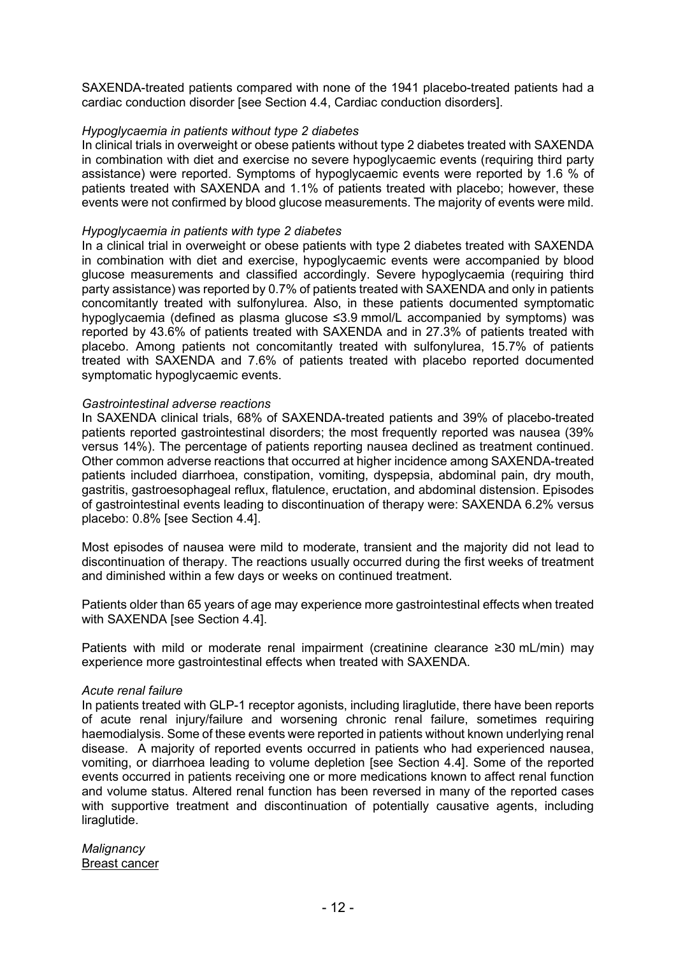SAXENDA-treated patients compared with none of the 1941 placebo-treated patients had a cardiac conduction disorder [see Section 4.4, Cardiac conduction disorders].

### *Hypoglycaemia in patients without type 2 diabetes*

In clinical trials in overweight or obese patients without type 2 diabetes treated with SAXENDA in combination with diet and exercise no severe hypoglycaemic events (requiring third party assistance) were reported. Symptoms of hypoglycaemic events were reported by 1.6 % of patients treated with SAXENDA and 1.1% of patients treated with placebo; however, these events were not confirmed by blood glucose measurements. The majority of events were mild.

#### *Hypoglycaemia in patients with type 2 diabetes*

In a clinical trial in overweight or obese patients with type 2 diabetes treated with SAXENDA in combination with diet and exercise, hypoglycaemic events were accompanied by blood glucose measurements and classified accordingly. Severe hypoglycaemia (requiring third party assistance) was reported by 0.7% of patients treated with SAXENDA and only in patients concomitantly treated with sulfonylurea. Also, in these patients documented symptomatic hypoglycaemia (defined as plasma glucose ≤3.9 mmol/L accompanied by symptoms) was reported by 43.6% of patients treated with SAXENDA and in 27.3% of patients treated with placebo. Among patients not concomitantly treated with sulfonylurea, 15.7% of patients treated with SAXENDA and 7.6% of patients treated with placebo reported documented symptomatic hypoglycaemic events.

#### *Gastrointestinal adverse reactions*

In SAXENDA clinical trials, 68% of SAXENDA-treated patients and 39% of placebo-treated patients reported gastrointestinal disorders; the most frequently reported was nausea (39% versus 14%). The percentage of patients reporting nausea declined as treatment continued. Other common adverse reactions that occurred at higher incidence among SAXENDA-treated patients included diarrhoea, constipation, vomiting, dyspepsia, abdominal pain, dry mouth, gastritis, gastroesophageal reflux, flatulence, eructation, and abdominal distension. Episodes of gastrointestinal events leading to discontinuation of therapy were: SAXENDA 6.2% versus placebo: 0.8% [see Section 4.4].

Most episodes of nausea were mild to moderate, transient and the majority did not lead to discontinuation of therapy. The reactions usually occurred during the first weeks of treatment and diminished within a few days or weeks on continued treatment.

Patients older than 65 years of age may experience more gastrointestinal effects when treated with SAXENDA [see Section 4.4].

Patients with mild or moderate renal impairment (creatinine clearance ≥30 mL/min) may experience more gastrointestinal effects when treated with SAXENDA.

#### *Acute renal failure*

In patients treated with GLP-1 receptor agonists, including liraglutide, there have been reports of acute renal injury/failure and worsening chronic renal failure, sometimes requiring haemodialysis. Some of these events were reported in patients without known underlying renal disease. A majority of reported events occurred in patients who had experienced nausea, vomiting, or diarrhoea leading to volume depletion [see Section 4.4]. Some of the reported events occurred in patients receiving one or more medications known to affect renal function and volume status. Altered renal function has been reversed in many of the reported cases with supportive treatment and discontinuation of potentially causative agents, including liraglutide.

*Malignancy* Breast cancer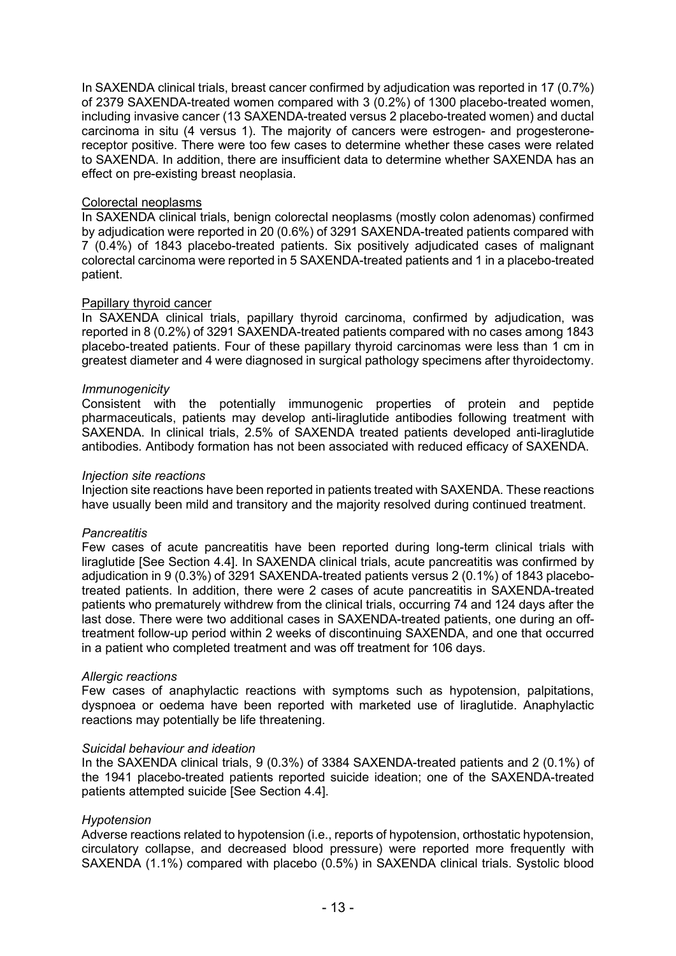In SAXENDA clinical trials, breast cancer confirmed by adjudication was reported in 17 (0.7%) of 2379 SAXENDA-treated women compared with 3 (0.2%) of 1300 placebo-treated women, including invasive cancer (13 SAXENDA-treated versus 2 placebo-treated women) and ductal carcinoma in situ (4 versus 1). The majority of cancers were estrogen- and progesteronereceptor positive. There were too few cases to determine whether these cases were related to SAXENDA. In addition, there are insufficient data to determine whether SAXENDA has an effect on pre-existing breast neoplasia.

### Colorectal neoplasms

In SAXENDA clinical trials, benign colorectal neoplasms (mostly colon adenomas) confirmed by adjudication were reported in 20 (0.6%) of 3291 SAXENDA-treated patients compared with 7 (0.4%) of 1843 placebo-treated patients. Six positively adjudicated cases of malignant colorectal carcinoma were reported in 5 SAXENDA-treated patients and 1 in a placebo-treated patient.

### Papillary thyroid cancer

In SAXENDA clinical trials, papillary thyroid carcinoma, confirmed by adjudication, was reported in 8 (0.2%) of 3291 SAXENDA-treated patients compared with no cases among 1843 placebo-treated patients. Four of these papillary thyroid carcinomas were less than 1 cm in greatest diameter and 4 were diagnosed in surgical pathology specimens after thyroidectomy.

### *Immunogenicity*

Consistent with the potentially immunogenic properties of protein and peptide pharmaceuticals, patients may develop anti-liraglutide antibodies following treatment with SAXENDA. In clinical trials, 2.5% of SAXENDA treated patients developed anti-liraglutide antibodies*.* Antibody formation has not been associated with reduced efficacy of SAXENDA.

#### *Injection site reactions*

Injection site reactions have been reported in patients treated with SAXENDA. These reactions have usually been mild and transitory and the majority resolved during continued treatment.

#### *Pancreatitis*

Few cases of acute pancreatitis have been reported during long-term clinical trials with liraglutide [See Section 4.4]. In SAXENDA clinical trials, acute pancreatitis was confirmed by adjudication in 9 (0.3%) of 3291 SAXENDA-treated patients versus 2 (0.1%) of 1843 placebotreated patients. In addition, there were 2 cases of acute pancreatitis in SAXENDA-treated patients who prematurely withdrew from the clinical trials, occurring 74 and 124 days after the last dose. There were two additional cases in SAXENDA-treated patients, one during an offtreatment follow-up period within 2 weeks of discontinuing SAXENDA, and one that occurred in a patient who completed treatment and was off treatment for 106 days.

#### *Allergic reactions*

Few cases of anaphylactic reactions with symptoms such as hypotension, palpitations, dyspnoea or oedema have been reported with marketed use of liraglutide. Anaphylactic reactions may potentially be life threatening.

#### *Suicidal behaviour and ideation*

In the SAXENDA clinical trials, 9 (0.3%) of 3384 SAXENDA-treated patients and 2 (0.1%) of the 1941 placebo-treated patients reported suicide ideation; one of the SAXENDA-treated patients attempted suicide [See Section 4.4].

### *Hypotension*

Adverse reactions related to hypotension (i.e., reports of hypotension, orthostatic hypotension, circulatory collapse, and decreased blood pressure) were reported more frequently with SAXENDA (1.1%) compared with placebo (0.5%) in SAXENDA clinical trials. Systolic blood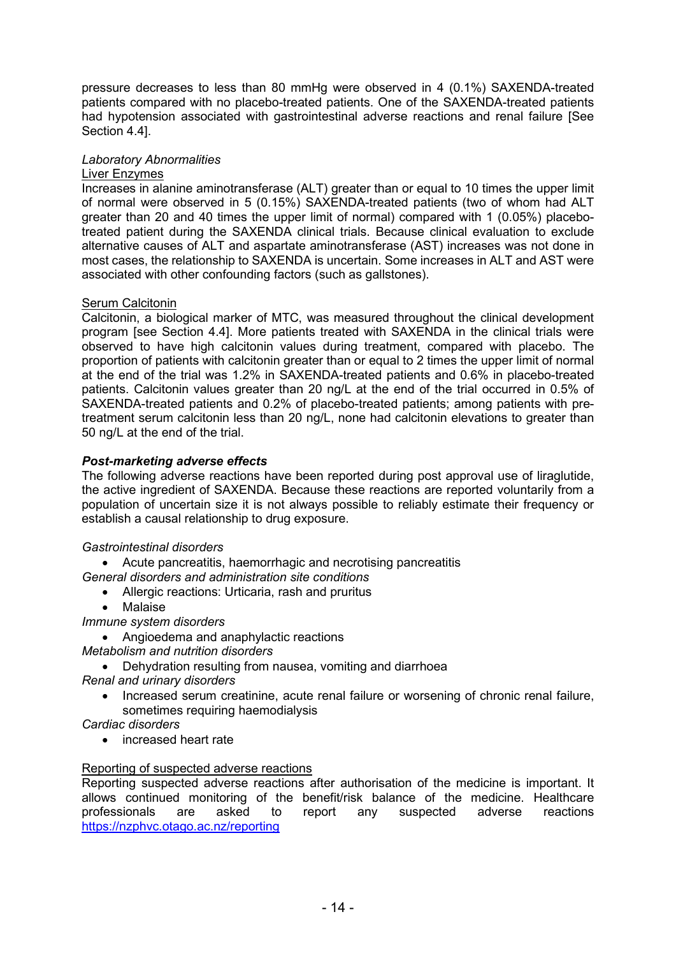pressure decreases to less than 80 mmHg were observed in 4 (0.1%) SAXENDA-treated patients compared with no placebo-treated patients. One of the SAXENDA-treated patients had hypotension associated with gastrointestinal adverse reactions and renal failure [See Section 4.4].

### *Laboratory Abnormalities*

### Liver Enzymes

Increases in alanine aminotransferase (ALT) greater than or equal to 10 times the upper limit of normal were observed in 5 (0.15%) SAXENDA-treated patients (two of whom had ALT greater than 20 and 40 times the upper limit of normal) compared with 1 (0.05%) placebotreated patient during the SAXENDA clinical trials. Because clinical evaluation to exclude alternative causes of ALT and aspartate aminotransferase (AST) increases was not done in most cases, the relationship to SAXENDA is uncertain. Some increases in ALT and AST were associated with other confounding factors (such as gallstones).

### **Serum Calcitonin**

Calcitonin, a biological marker of MTC, was measured throughout the clinical development program [see Section 4.4]. More patients treated with SAXENDA in the clinical trials were observed to have high calcitonin values during treatment, compared with placebo. The proportion of patients with calcitonin greater than or equal to 2 times the upper limit of normal at the end of the trial was 1.2% in SAXENDA-treated patients and 0.6% in placebo-treated patients. Calcitonin values greater than 20 ng/L at the end of the trial occurred in 0.5% of SAXENDA-treated patients and 0.2% of placebo-treated patients; among patients with pretreatment serum calcitonin less than 20 ng/L, none had calcitonin elevations to greater than 50 ng/L at the end of the trial.

### *Post-marketing adverse effects*

The following adverse reactions have been reported during post approval use of liraglutide, the active ingredient of SAXENDA. Because these reactions are reported voluntarily from a population of uncertain size it is not always possible to reliably estimate their frequency or establish a causal relationship to drug exposure.

### *Gastrointestinal disorders*

• Acute pancreatitis, haemorrhagic and necrotising pancreatitis

*General disorders and administration site conditions* 

- Allergic reactions: Urticaria, rash and pruritus
- Malaise

*Immune system disorders*

• Angioedema and anaphylactic reactions

- *Metabolism and nutrition disorders* 
	- Dehydration resulting from nausea, vomiting and diarrhoea

*Renal and urinary disorders*

- Increased serum creatinine, acute renal failure or worsening of chronic renal failure, sometimes requiring haemodialysis
- *Cardiac disorders*
	- increased heart rate

### Reporting of suspected adverse reactions

Reporting suspected adverse reactions after authorisation of the medicine is important. It allows continued monitoring of the benefit/risk balance of the medicine. Healthcare professionals are asked to report any suspected adverse reactions <https://nzphvc.otago.ac.nz/reporting>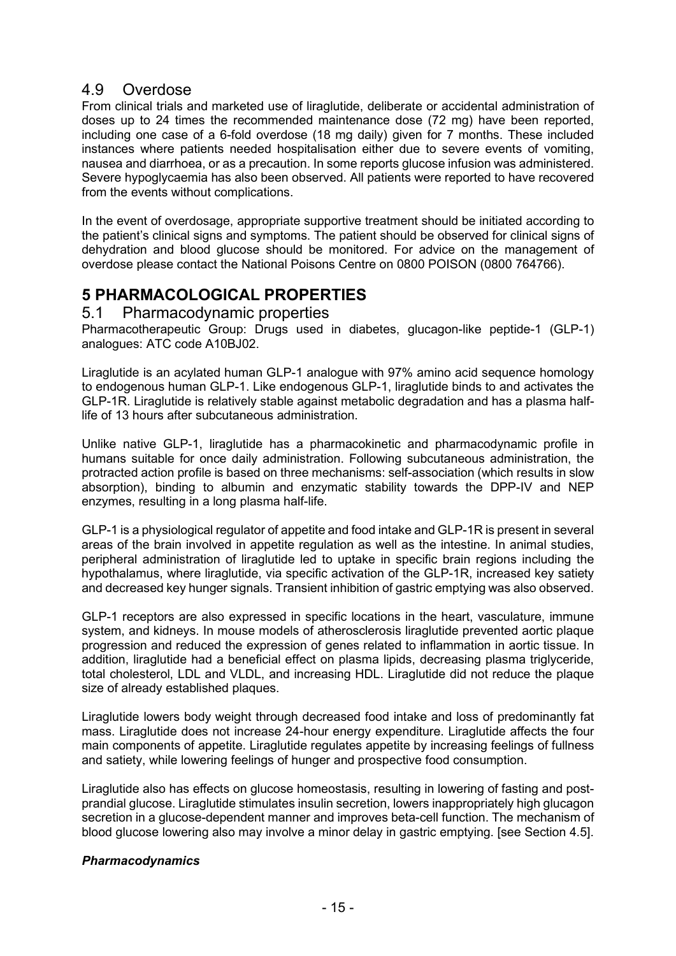## 4.9 Overdose

From clinical trials and marketed use of liraglutide, deliberate or accidental administration of doses up to 24 times the recommended maintenance dose (72 mg) have been reported, including one case of a 6-fold overdose (18 mg daily) given for 7 months. These included instances where patients needed hospitalisation either due to severe events of vomiting, nausea and diarrhoea, or as a precaution. In some reports glucose infusion was administered. Severe hypoglycaemia has also been observed. All patients were reported to have recovered from the events without complications.

In the event of overdosage, appropriate supportive treatment should be initiated according to the patient's clinical signs and symptoms. The patient should be observed for clinical signs of dehydration and blood glucose should be monitored. For advice on the management of overdose please contact the National Poisons Centre on 0800 POISON (0800 764766).

# **5 PHARMACOLOGICAL PROPERTIES**

5.1 Pharmacodynamic properties

Pharmacotherapeutic Group: Drugs used in diabetes, glucagon-like peptide-1 (GLP-1) analogues: ATC code A10BJ02.

Liraglutide is an acylated human GLP-1 analogue with 97% amino acid sequence homology to endogenous human GLP-1. Like endogenous GLP-1, liraglutide binds to and activates the GLP-1R. Liraglutide is relatively stable against metabolic degradation and has a plasma halflife of 13 hours after subcutaneous administration.

Unlike native GLP-1, liraglutide has a pharmacokinetic and pharmacodynamic profile in humans suitable for once daily administration. Following subcutaneous administration, the protracted action profile is based on three mechanisms: self-association (which results in slow absorption), binding to albumin and enzymatic stability towards the DPP-IV and NEP enzymes, resulting in a long plasma half-life.

GLP-1 is a physiological regulator of appetite and food intake and GLP-1R is present in several areas of the brain involved in appetite regulation as well as the intestine. In animal studies, peripheral administration of liraglutide led to uptake in specific brain regions including the hypothalamus, where liraglutide, via specific activation of the GLP-1R, increased key satiety and decreased key hunger signals. Transient inhibition of gastric emptying was also observed.

GLP-1 receptors are also expressed in specific locations in the heart, vasculature, immune system, and kidneys. In mouse models of atherosclerosis liraglutide prevented aortic plaque progression and reduced the expression of genes related to inflammation in aortic tissue. In addition, liraglutide had a beneficial effect on plasma lipids, decreasing plasma triglyceride, total cholesterol, LDL and VLDL, and increasing HDL. Liraglutide did not reduce the plaque size of already established plaques.

Liraglutide lowers body weight through decreased food intake and loss of predominantly fat mass. Liraglutide does not increase 24-hour energy expenditure. Liraglutide affects the four main components of appetite. Liraglutide regulates appetite by increasing feelings of fullness and satiety, while lowering feelings of hunger and prospective food consumption.

Liraglutide also has effects on glucose homeostasis, resulting in lowering of fasting and postprandial glucose. Liraglutide stimulates insulin secretion, lowers inappropriately high glucagon secretion in a glucose-dependent manner and improves beta-cell function. The mechanism of blood glucose lowering also may involve a minor delay in gastric emptying. [see Section 4.5].

### *Pharmacodynamics*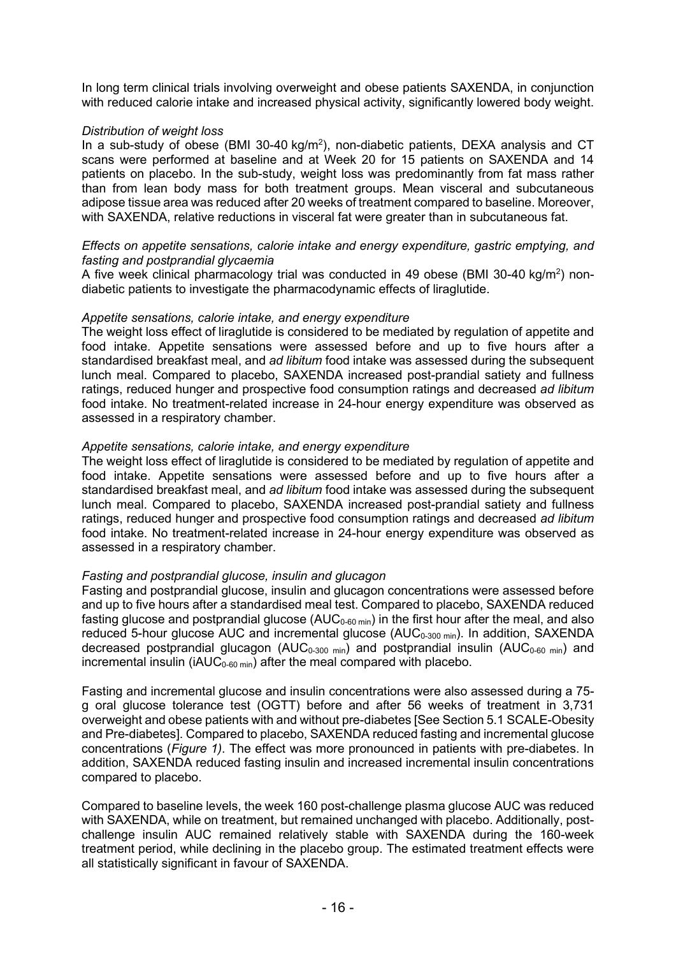In long term clinical trials involving overweight and obese patients SAXENDA, in conjunction with reduced calorie intake and increased physical activity, significantly lowered body weight.

### *Distribution of weight loss*

In a sub-study of obese (BMI 30-40 kg/m<sup>2</sup>), non-diabetic patients, DEXA analysis and CT scans were performed at baseline and at Week 20 for 15 patients on SAXENDA and 14 patients on placebo. In the sub-study, weight loss was predominantly from fat mass rather than from lean body mass for both treatment groups. Mean visceral and subcutaneous adipose tissue area was reduced after 20 weeks of treatment compared to baseline. Moreover, with SAXENDA, relative reductions in visceral fat were greater than in subcutaneous fat.

### *Effects on appetite sensations, calorie intake and energy expenditure, gastric emptying, and fasting and postprandial glycaemia*

A five week clinical pharmacology trial was conducted in 49 obese (BMI 30-40 kg/m<sup>2</sup>) nondiabetic patients to investigate the pharmacodynamic effects of liraglutide.

### *Appetite sensations, calorie intake, and energy expenditure*

The weight loss effect of liraglutide is considered to be mediated by regulation of appetite and food intake. Appetite sensations were assessed before and up to five hours after a standardised breakfast meal, and *ad libitum* food intake was assessed during the subsequent lunch meal. Compared to placebo, SAXENDA increased post-prandial satiety and fullness ratings, reduced hunger and prospective food consumption ratings and decreased *ad libitum* food intake. No treatment-related increase in 24-hour energy expenditure was observed as assessed in a respiratory chamber.

### *Appetite sensations, calorie intake, and energy expenditure*

The weight loss effect of liraglutide is considered to be mediated by regulation of appetite and food intake. Appetite sensations were assessed before and up to five hours after a standardised breakfast meal, and *ad libitum* food intake was assessed during the subsequent lunch meal. Compared to placebo, SAXENDA increased post-prandial satiety and fullness ratings, reduced hunger and prospective food consumption ratings and decreased *ad libitum* food intake. No treatment-related increase in 24-hour energy expenditure was observed as assessed in a respiratory chamber.

### *Fasting and postprandial glucose, insulin and glucagon*

Fasting and postprandial glucose, insulin and glucagon concentrations were assessed before and up to five hours after a standardised meal test. Compared to placebo, SAXENDA reduced fasting glucose and postprandial glucose ( $AUC_{0.60 \text{ min}}$ ) in the first hour after the meal, and also reduced 5-hour glucose AUC and incremental glucose (AUC<sub>0-300 min</sub>). In addition, SAXENDA decreased postprandial glucagon (AUC<sub>0-300 min</sub>) and postprandial insulin (AUC<sub>0-60 min</sub>) and incremental insulin (iAUC<sub>0-60 min</sub>) after the meal compared with placebo.

Fasting and incremental glucose and insulin concentrations were also assessed during a 75 g oral glucose tolerance test (OGTT) before and after 56 weeks of treatment in 3,731 overweight and obese patients with and without pre-diabetes [See Section 5.1 SCALE-Obesity and Pre-diabetes]. Compared to placebo, SAXENDA reduced fasting and incremental glucose concentrations (*Figure 1)*. The effect was more pronounced in patients with pre-diabetes. In addition, SAXENDA reduced fasting insulin and increased incremental insulin concentrations compared to placebo.

Compared to baseline levels, the week 160 post-challenge plasma glucose AUC was reduced with SAXENDA, while on treatment, but remained unchanged with placebo. Additionally, postchallenge insulin AUC remained relatively stable with SAXENDA during the 160-week treatment period, while declining in the placebo group. The estimated treatment effects were all statistically significant in favour of SAXENDA.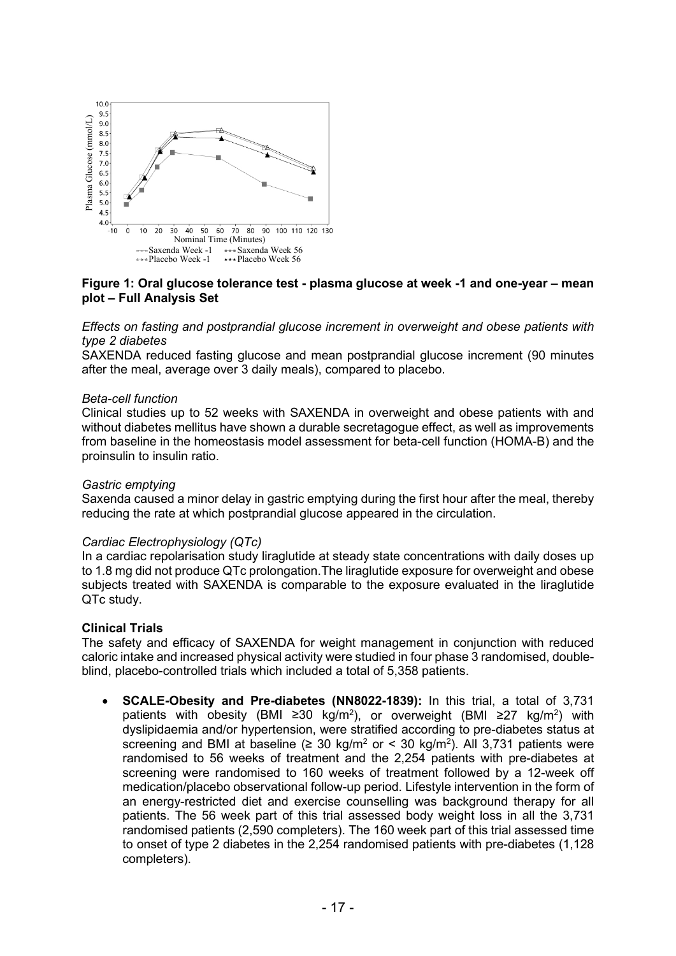

### **Figure 1: Oral glucose tolerance test - plasma glucose at week -1 and one-year – mean plot – Full Analysis Set**

*Effects on fasting and postprandial glucose increment in overweight and obese patients with type 2 diabetes*

SAXENDA reduced fasting glucose and mean postprandial glucose increment (90 minutes after the meal, average over 3 daily meals), compared to placebo.

#### *Beta-cell function*

Clinical studies up to 52 weeks with SAXENDA in overweight and obese patients with and without diabetes mellitus have shown a durable secretagogue effect, as well as improvements from baseline in the homeostasis model assessment for beta-cell function (HOMA-B) and the proinsulin to insulin ratio.

#### *Gastric emptying*

Saxenda caused a minor delay in gastric emptying during the first hour after the meal, thereby reducing the rate at which postprandial glucose appeared in the circulation.

#### *Cardiac Electrophysiology (QTc)*

In a cardiac repolarisation study liraglutide at steady state concentrations with daily doses up to 1.8 mg did not produce QTc prolongation.The liraglutide exposure for overweight and obese subjects treated with SAXENDA is comparable to the exposure evaluated in the liraglutide QTc study.

#### **Clinical Trials**

The safety and efficacy of SAXENDA for weight management in conjunction with reduced caloric intake and increased physical activity were studied in four phase 3 randomised, doubleblind, placebo-controlled trials which included a total of 5,358 patients.

• **SCALE-Obesity and Pre-diabetes (NN8022-1839):** In this trial, a total of 3,731 patients with obesity (BMI ≥30 kg/m<sup>2</sup>), or overweight (BMI ≥27 kg/m<sup>2</sup>) with dyslipidaemia and/or hypertension, were stratified according to pre-diabetes status at screening and BMI at baseline ( $\geq 30 \text{ kg/m}^2$  or < 30 kg/m<sup>2</sup>). All 3,731 patients were randomised to 56 weeks of treatment and the 2,254 patients with pre-diabetes at screening were randomised to 160 weeks of treatment followed by a 12-week off medication/placebo observational follow-up period. Lifestyle intervention in the form of an energy-restricted diet and exercise counselling was background therapy for all patients. The 56 week part of this trial assessed body weight loss in all the 3,731 randomised patients (2,590 completers). The 160 week part of this trial assessed time to onset of type 2 diabetes in the 2,254 randomised patients with pre-diabetes (1,128 completers).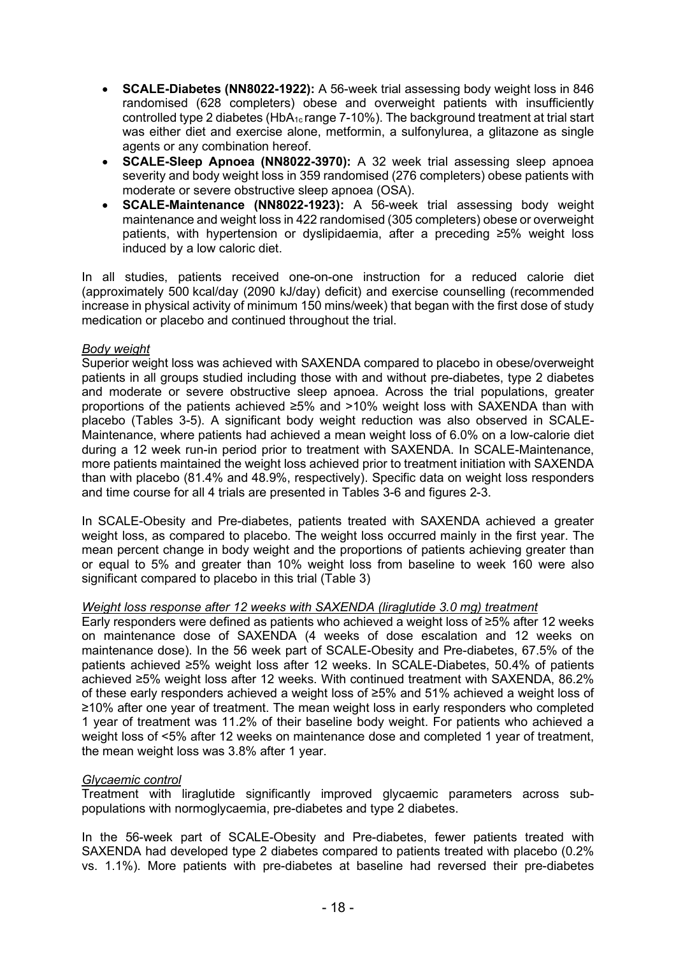- **SCALE-Diabetes (NN8022-1922):** A 56-week trial assessing body weight loss in 846 randomised (628 completers) obese and overweight patients with insufficiently controlled type 2 diabetes (HbA<sub>1c</sub> range 7-10%). The background treatment at trial start was either diet and exercise alone, metformin, a sulfonylurea, a glitazone as single agents or any combination hereof.
- **SCALE-Sleep Apnoea (NN8022-3970):** A 32 week trial assessing sleep apnoea severity and body weight loss in 359 randomised (276 completers) obese patients with moderate or severe obstructive sleep apnoea (OSA).
- **SCALE-Maintenance (NN8022-1923):** A 56-week trial assessing body weight maintenance and weight loss in 422 randomised (305 completers) obese or overweight patients, with hypertension or dyslipidaemia, after a preceding ≥5% weight loss induced by a low caloric diet.

In all studies, patients received one-on-one instruction for a reduced calorie diet (approximately 500 kcal/day (2090 kJ/day) deficit) and exercise counselling (recommended increase in physical activity of minimum 150 mins/week) that began with the first dose of study medication or placebo and continued throughout the trial.

### *Body weight*

Superior weight loss was achieved with SAXENDA compared to placebo in obese/overweight patients in all groups studied including those with and without pre-diabetes, type 2 diabetes and moderate or severe obstructive sleep apnoea. Across the trial populations, greater proportions of the patients achieved ≥5% and >10% weight loss with SAXENDA than with placebo (Tables 3-5). A significant body weight reduction was also observed in SCALE-Maintenance, where patients had achieved a mean weight loss of 6.0% on a low-calorie diet during a 12 week run-in period prior to treatment with SAXENDA. In SCALE-Maintenance, more patients maintained the weight loss achieved prior to treatment initiation with SAXENDA than with placebo (81.4% and 48.9%, respectively). Specific data on weight loss responders and time course for all 4 trials are presented in Tables 3-6 and figures 2-3.

In SCALE-Obesity and Pre-diabetes, patients treated with SAXENDA achieved a greater weight loss, as compared to placebo. The weight loss occurred mainly in the first year. The mean percent change in body weight and the proportions of patients achieving greater than or equal to 5% and greater than 10% weight loss from baseline to week 160 were also significant compared to placebo in this trial (Table 3)

### *Weight loss response after 12 weeks with SAXENDA (liraglutide 3.0 mg) treatment*

Early responders were defined as patients who achieved a weight loss of ≥5% after 12 weeks on maintenance dose of SAXENDA (4 weeks of dose escalation and 12 weeks on maintenance dose). In the 56 week part of SCALE-Obesity and Pre-diabetes, 67.5% of the patients achieved ≥5% weight loss after 12 weeks. In SCALE-Diabetes, 50.4% of patients achieved ≥5% weight loss after 12 weeks. With continued treatment with SAXENDA, 86.2% of these early responders achieved a weight loss of ≥5% and 51% achieved a weight loss of ≥10% after one year of treatment. The mean weight loss in early responders who completed 1 year of treatment was 11.2% of their baseline body weight. For patients who achieved a weight loss of <5% after 12 weeks on maintenance dose and completed 1 year of treatment, the mean weight loss was 3.8% after 1 year.

### *Glycaemic control*

Treatment with liraglutide significantly improved glycaemic parameters across subpopulations with normoglycaemia, pre-diabetes and type 2 diabetes.

In the 56-week part of SCALE-Obesity and Pre-diabetes, fewer patients treated with SAXENDA had developed type 2 diabetes compared to patients treated with placebo (0.2% vs. 1.1%). More patients with pre-diabetes at baseline had reversed their pre-diabetes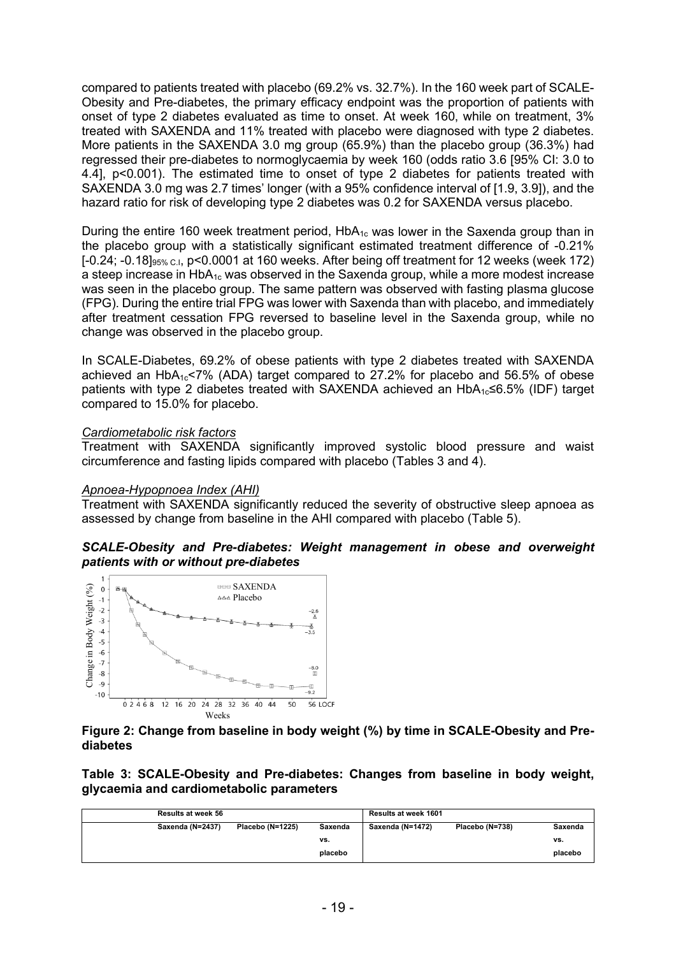compared to patients treated with placebo (69.2% vs. 32.7%). In the 160 week part of SCALE-Obesity and Pre-diabetes, the primary efficacy endpoint was the proportion of patients with onset of type 2 diabetes evaluated as time to onset. At week 160, while on treatment, 3% treated with SAXENDA and 11% treated with placebo were diagnosed with type 2 diabetes. More patients in the SAXENDA 3.0 mg group (65.9%) than the placebo group (36.3%) had regressed their pre-diabetes to normoglycaemia by week 160 (odds ratio 3.6 [95% CI: 3.0 to 4.4], p<0.001). The estimated time to onset of type 2 diabetes for patients treated with SAXENDA 3.0 mg was 2.7 times' longer (with a 95% confidence interval of [1.9, 3.9]), and the hazard ratio for risk of developing type 2 diabetes was 0.2 for SAXENDA versus placebo.

During the entire 160 week treatment period,  $HbA_{1c}$  was lower in the Saxenda group than in the placebo group with a statistically significant estimated treatment difference of -0.21%  $[-0.24; -0.18]_{95\% \text{ C}l}$ , p<0.0001 at 160 weeks. After being off treatment for 12 weeks (week 172) a steep increase in  $HbA_{1c}$  was observed in the Saxenda group, while a more modest increase was seen in the placebo group. The same pattern was observed with fasting plasma glucose (FPG). During the entire trial FPG was lower with Saxenda than with placebo, and immediately after treatment cessation FPG reversed to baseline level in the Saxenda group, while no change was observed in the placebo group.

In SCALE-Diabetes, 69.2% of obese patients with type 2 diabetes treated with SAXENDA achieved an HbA<sub>1c</sub><7% (ADA) target compared to  $27.2%$  for placebo and 56.5% of obese patients with type 2 diabetes treated with SAXENDA achieved an  $HbA_{1c} \leq 6.5\%$  (IDF) target compared to 15.0% for placebo.

### *Cardiometabolic risk factors*

Treatment with SAXENDA significantly improved systolic blood pressure and waist circumference and fasting lipids compared with placebo (Tables 3 and 4).

#### *Apnoea-Hypopnoea Index (AHI)*

Treatment with SAXENDA significantly reduced the severity of obstructive sleep apnoea as assessed by change from baseline in the AHI compared with placebo (Table 5).





### **Figure 2: Change from baseline in body weight (%) by time in SCALE-Obesity and Prediabetes**

**Table 3: SCALE-Obesity and Pre-diabetes: Changes from baseline in body weight, glycaemia and cardiometabolic parameters**

| <b>Results at week 56</b> |                  |         | Results at week 1601 |                 |         |
|---------------------------|------------------|---------|----------------------|-----------------|---------|
| Saxenda (N=2437)          | Placebo (N=1225) | Saxenda | Saxenda (N=1472)     | Placebo (N=738) | Saxenda |
|                           |                  | vs.     |                      |                 | vs.     |
|                           |                  | placebo |                      |                 | placebo |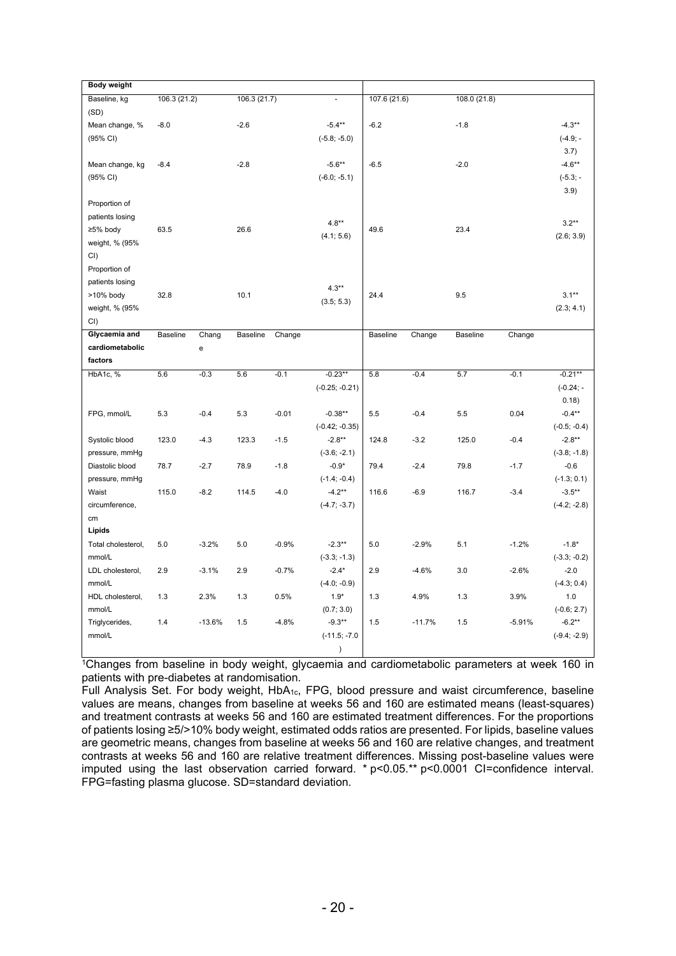| <b>Body weight</b>            |                 |                  |              |                   |                                                                           |              |                  |                 |                |                                         |
|-------------------------------|-----------------|------------------|--------------|-------------------|---------------------------------------------------------------------------|--------------|------------------|-----------------|----------------|-----------------------------------------|
| Baseline, kg                  | 106.3 (21.2)    |                  | 106.3 (21.7) |                   |                                                                           | 107.6 (21.6) |                  | 108.0 (21.8)    |                |                                         |
| (SD)                          |                 |                  |              |                   |                                                                           |              |                  |                 |                |                                         |
| Mean change, %                | $-8.0$          |                  | $-2.6$       |                   | $-5.4**$                                                                  | $-6.2$       |                  | $-1.8$          |                | $-4.3**$                                |
| (95% CI)                      |                 |                  |              |                   | $(-5.8; -5.0)$                                                            |              |                  |                 |                | $(-4.9; -$                              |
|                               |                 |                  |              |                   |                                                                           |              |                  |                 |                | 3.7)                                    |
| Mean change, kg               | $-8.4$          |                  | $-2.8$       |                   | $-5.6***$                                                                 | $-6.5$       |                  | $-2.0$          |                | $-4.6**$                                |
| (95% CI)                      |                 |                  |              |                   | $(-6.0; -5.1)$                                                            |              |                  |                 |                | $(-5.3; -$                              |
|                               |                 |                  |              |                   |                                                                           |              |                  |                 |                | 3.9)                                    |
| Proportion of                 |                 |                  |              |                   |                                                                           |              |                  |                 |                |                                         |
| patients losing               |                 |                  |              |                   |                                                                           |              |                  |                 |                |                                         |
| ≥5% body                      | 63.5            |                  | 26.6         |                   | $4.8**$                                                                   | 49.6         |                  | 23.4            |                | $3.2**$                                 |
| weight, % (95%                |                 |                  |              |                   | (4.1; 5.6)                                                                |              |                  |                 |                | (2.6; 3.9)                              |
| CI)                           |                 |                  |              |                   |                                                                           |              |                  |                 |                |                                         |
| Proportion of                 |                 |                  |              |                   |                                                                           |              |                  |                 |                |                                         |
| patients losing               |                 |                  |              |                   |                                                                           |              |                  |                 |                |                                         |
| >10% body                     | 32.8            |                  | 10.1         |                   | $4.3**$                                                                   | 24.4         |                  | 9.5             |                | $3.1**$                                 |
| weight, % (95%                |                 |                  |              |                   | (3.5; 5.3)                                                                |              |                  |                 |                |                                         |
| CI()                          |                 |                  |              |                   |                                                                           |              |                  |                 |                | (2.3; 4.1)                              |
| Glycaemia and                 | <b>Baseline</b> |                  | Baseline     |                   |                                                                           | Baseline     |                  | <b>Baseline</b> |                |                                         |
| cardiometabolic               |                 | Chang            |              | Change            |                                                                           |              | Change           |                 | Change         |                                         |
| factors                       |                 | e                |              |                   |                                                                           |              |                  |                 |                |                                         |
|                               |                 |                  |              |                   |                                                                           |              |                  |                 |                |                                         |
| HbA1c, %                      | 5.6             | $-0.3$           | 5.6          | $-0.1$            | $-0.23**$                                                                 | 5.8          | $-0.4$           | 5.7             | $-0.1$         | $-0.21***$                              |
|                               |                 |                  |              |                   | $(-0.25; -0.21)$                                                          |              |                  |                 |                | $(-0.24; -$                             |
|                               |                 |                  |              |                   |                                                                           |              |                  |                 |                | 0.18)                                   |
|                               |                 |                  |              |                   |                                                                           |              |                  |                 |                |                                         |
|                               |                 |                  |              |                   |                                                                           |              |                  |                 |                |                                         |
|                               |                 |                  |              |                   |                                                                           |              |                  |                 |                |                                         |
| pressure, mmHg                |                 |                  |              |                   | $(-3.6; -2.1)$                                                            |              |                  |                 |                | $(-3.8; -1.8)$                          |
| Diastolic blood               | 78.7            | $-2.7$           | 78.9         | $-1.8$            | $-0.9*$                                                                   | 79.4         | $-2.4$           | 79.8            | $-1.7$         | $-0.6$                                  |
| pressure, mmHg                |                 |                  |              |                   | $(-1.4; -0.4)$                                                            |              |                  |                 |                | $(-1.3; 0.1)$                           |
| Waist                         | 115.0           | $-8.2$           | 114.5        | $-4.0$            | $-4.2**$                                                                  | 116.6        | $-6.9$           | 116.7           | $-3.4$         | $-3.5***$                               |
| circumference,                |                 |                  |              |                   | $(-4.7; -3.7)$                                                            |              |                  |                 |                | $(-4.2; -2.8)$                          |
| cm                            |                 |                  |              |                   |                                                                           |              |                  |                 |                |                                         |
| Lipids                        |                 |                  |              |                   |                                                                           |              |                  |                 |                |                                         |
| Total cholesterol,            | 5.0             | $-3.2%$          | 5.0          | $-0.9%$           | $-2.3**$                                                                  | 5.0          | $-2.9%$          | 5.1             | $-1.2%$        | $-1.8*$                                 |
| mmol/L                        |                 |                  |              |                   | $(-3.3; -1.3)$                                                            |              |                  |                 |                | $(-3.3; -0.2)$                          |
| LDL cholesterol,              | 2.9             | $-3.1%$          | 2.9          | $-0.7%$           | $-2.4*$                                                                   | 2.9          | $-4.6%$          | 3.0             | $-2.6%$        | $-2.0$                                  |
| mmol/L                        |                 |                  |              |                   | $(-4.0; -0.9)$                                                            |              |                  |                 |                | $(-4.3; 0.4)$                           |
| HDL cholesterol,              | 1.3             | 2.3%             | 1.3          | 0.5%              | $1.9*$                                                                    | 1.3          | 4.9%             | 1.3             | 3.9%           | 1.0                                     |
| mmol/L                        |                 |                  |              |                   | (0.7; 3.0)                                                                |              |                  |                 |                | $(-0.6; 2.7)$                           |
| Triglycerides,                | 1.4             | $-13.6%$         | 1.5          | $-4.8%$           | $-9.3**$                                                                  | 1.5          | $-11.7%$         | 1.5             | $-5.91%$       | $-6.2**$                                |
| mmol/L                        |                 |                  |              |                   |                                                                           |              |                  |                 |                | $(-9.4; -2.9)$                          |
|                               |                 |                  |              |                   |                                                                           |              |                  |                 |                |                                         |
| FPG, mmol/L<br>Systolic blood | 5.3<br>123.0    | $-0.4$<br>$-4.3$ | 5.3<br>123.3 | $-0.01$<br>$-1.5$ | $-0.38**$<br>$(-0.42; -0.35)$<br>$-2.8**$<br>$(-11.5; -7.0)$<br>$\lambda$ | 5.5<br>124.8 | $-0.4$<br>$-3.2$ | 5.5<br>125.0    | 0.04<br>$-0.4$ | $-0.4***$<br>$(-0.5; -0.4)$<br>$-2.8**$ |

<sup>1</sup>Changes from baseline in body weight, glycaemia and cardiometabolic parameters at week 160 in patients with pre-diabetes at randomisation.

Full Analysis Set. For body weight, HbA1c, FPG, blood pressure and waist circumference, baseline values are means, changes from baseline at weeks 56 and 160 are estimated means (least-squares) and treatment contrasts at weeks 56 and 160 are estimated treatment differences. For the proportions of patients losing ≥5/>10% body weight, estimated odds ratios are presented. For lipids, baseline values are geometric means, changes from baseline at weeks 56 and 160 are relative changes, and treatment contrasts at weeks 56 and 160 are relative treatment differences. Missing post-baseline values were imputed using the last observation carried forward. \* p<0.05.\*\* p<0.0001 CI=confidence interval. FPG=fasting plasma glucose. SD=standard deviation.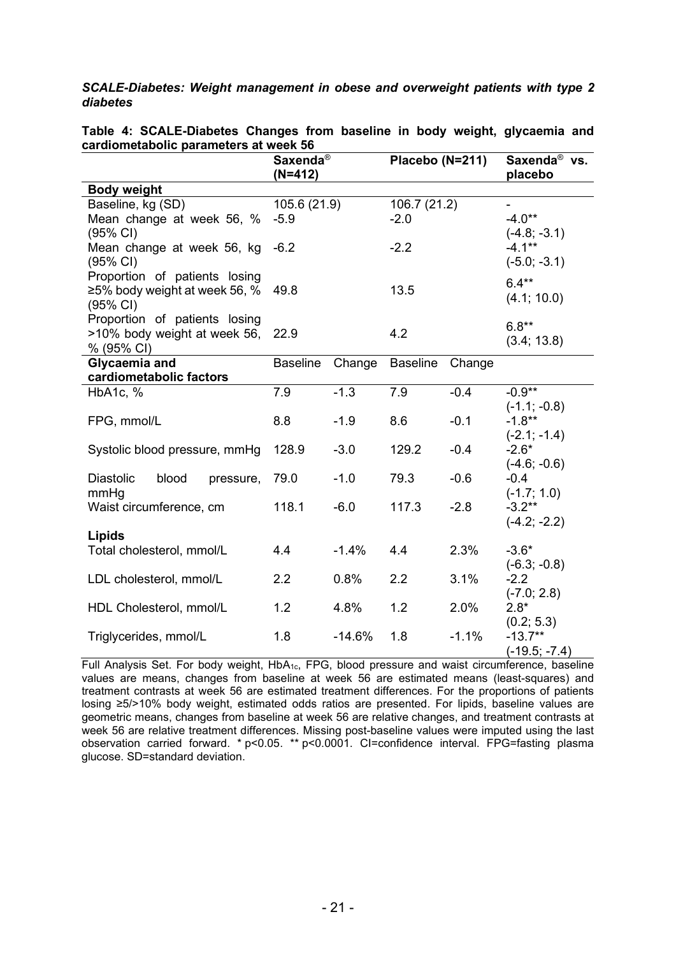*SCALE-Diabetes: Weight management in obese and overweight patients with type 2 diabetes* 

| cardionnetabolic parameters at ween 50                                      | Saxenda <sup>®</sup><br>$(N=412)$ |          | Placebo (N=211)        |         | Saxenda <sup>®</sup> vs.<br>placebo           |
|-----------------------------------------------------------------------------|-----------------------------------|----------|------------------------|---------|-----------------------------------------------|
| <b>Body weight</b>                                                          |                                   |          |                        |         |                                               |
| Baseline, kg (SD)<br>Mean change at week 56, %<br>(95% CI)                  | 105.6 (21.9)<br>$-5.9$            |          | 106.7 (21.2)<br>$-2.0$ |         | $-4.0**$<br>$(-4.8; -3.1)$                    |
| Mean change at week 56, kg<br>(95% CI)                                      | $-6.2$                            |          | $-2.2$                 |         | $-4.1***$<br>$(-5.0; -3.1)$                   |
| Proportion of patients losing<br>≥5% body weight at week 56, %<br>(95% CI)  | 49.8                              |          | 13.5                   |         | $6.4**$<br>(4.1; 10.0)                        |
| Proportion of patients losing<br>>10% body weight at week 56,<br>% (95% CI) | 22.9                              |          | 4.2                    |         | $6.8**$<br>(3.4; 13.8)                        |
| Glycaemia and<br>cardiometabolic factors                                    | <b>Baseline</b>                   | Change   | Baseline               | Change  |                                               |
| HbA1c, %                                                                    | 7.9                               | $-1.3$   | 7.9                    | $-0.4$  | $-0.9**$                                      |
| FPG, mmol/L                                                                 | 8.8                               | $-1.9$   | 8.6                    | $-0.1$  | $(-1.1; -0.8)$<br>$-1.8***$<br>$(-2.1; -1.4)$ |
| Systolic blood pressure, mmHg                                               | 128.9                             | $-3.0$   | 129.2                  | $-0.4$  | $-2.6*$<br>$(-4.6; -0.6)$                     |
| <b>Diastolic</b><br>blood<br>pressure,<br>mmHg                              | 79.0                              | $-1.0$   | 79.3                   | $-0.6$  | $-0.4$<br>$(-1.7; 1.0)$                       |
| Waist circumference, cm                                                     | 118.1                             | $-6.0$   | 117.3                  | $-2.8$  | $-3.2**$<br>$(-4.2; -2.2)$                    |
| <b>Lipids</b><br>Total cholesterol, mmol/L                                  | 4.4                               | $-1.4%$  | 4.4                    | 2.3%    | $-3.6*$<br>$(-6.3; -0.8)$                     |
| LDL cholesterol, mmol/L                                                     | 2.2                               | 0.8%     | 2.2                    | 3.1%    | $-2.2$<br>$(-7.0; 2.8)$                       |
| HDL Cholesterol, mmol/L                                                     | 1.2                               | 4.8%     | 1.2                    | 2.0%    | $2.8*$                                        |
| Triglycerides, mmol/L                                                       | 1.8                               | $-14.6%$ | 1.8                    | $-1.1%$ | (0.2; 5.3)<br>$-13.7**$<br>$(-19.5; -7.4)$    |

**Table 4: SCALE-Diabetes Changes from baseline in body weight, glycaemia and cardiometabolic parameters at week 56**

Full Analysis Set. For body weight, HbA1c, FPG, blood pressure and waist circumference, baseline values are means, changes from baseline at week 56 are estimated means (least-squares) and treatment contrasts at week 56 are estimated treatment differences. For the proportions of patients losing ≥5/>10% body weight, estimated odds ratios are presented. For lipids, baseline values are geometric means, changes from baseline at week 56 are relative changes, and treatment contrasts at week 56 are relative treatment differences. Missing post-baseline values were imputed using the last observation carried forward. \* p<0.05. \*\* p<0.0001. CI=confidence interval. FPG=fasting plasma glucose. SD=standard deviation.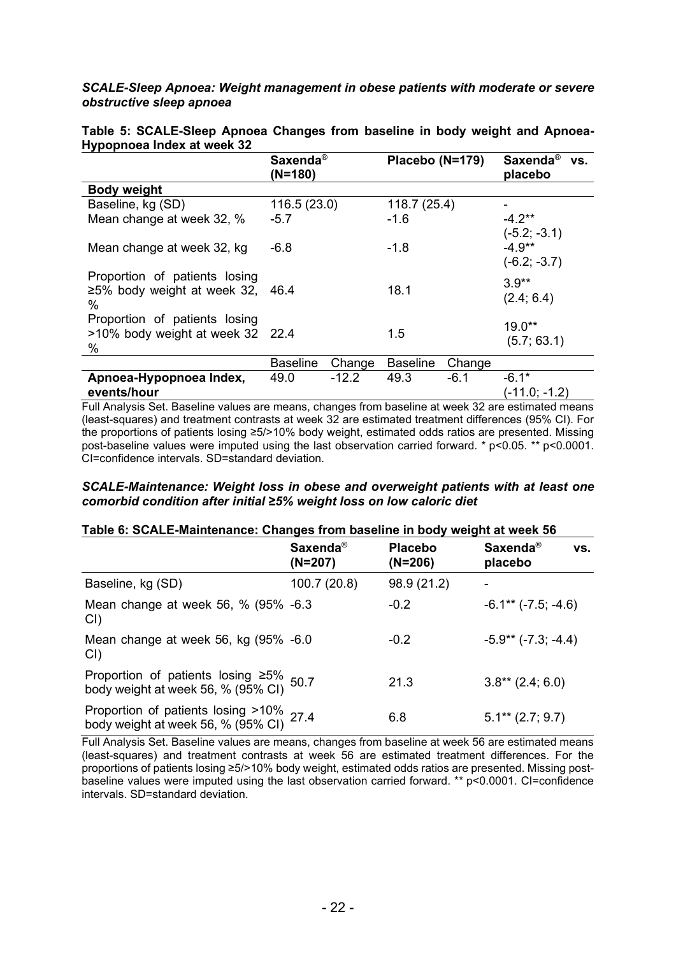### *SCALE-Sleep Apnoea: Weight management in obese patients with moderate or severe obstructive sleep apnoea*

| . . <i>,</i> , , , ,                                                      | Saxenda <sup>®</sup><br>$(N=180)$ |         | Placebo (N=179) |        | Saxenda <sup>®</sup><br>VS.<br>placebo       |
|---------------------------------------------------------------------------|-----------------------------------|---------|-----------------|--------|----------------------------------------------|
| <b>Body weight</b>                                                        |                                   |         |                 |        |                                              |
| Baseline, kg (SD)                                                         | 116.5(23.0)                       |         | 118.7(25.4)     |        |                                              |
| Mean change at week 32, %                                                 | $-5.7$                            |         | $-1.6$          |        | $-4.2**$                                     |
| Mean change at week 32, kg                                                | $-6.8$                            |         | $-1.8$          |        | $(-5.2; -3.1)$<br>$-4.9**$<br>$(-6.2; -3.7)$ |
| Proportion of patients losing<br>$\geq$ 5% body weight at week 32,<br>%   | 46.4                              |         | 18.1            |        | $3.9**$<br>(2.4; 6.4)                        |
| Proportion of patients losing<br>>10% body weight at week 32 22.4<br>$\%$ |                                   |         | 1.5             |        | $19.0**$<br>(5.7; 63.1)                      |
|                                                                           | <b>Baseline</b>                   | Change  | <b>Baseline</b> | Change |                                              |
| Apnoea-Hypopnoea Index,<br>events/hour                                    | 49.0                              | $-12.2$ | 49.3            | $-6.1$ | $-6.1*$<br>(-11.0; -1.2)                     |

#### **Table 5: SCALE-Sleep Apnoea Changes from baseline in body weight and Apnoea-Hypopnoea Index at week 32**

Full Analysis Set. Baseline values are means, changes from baseline at week 32 are estimated means (least-squares) and treatment contrasts at week 32 are estimated treatment differences (95% CI). For the proportions of patients losing ≥5/>10% body weight, estimated odds ratios are presented. Missing post-baseline values were imputed using the last observation carried forward. \* p<0.05. \*\* p<0.0001. CI=confidence intervals. SD=standard deviation.

### *SCALE-Maintenance: Weight loss in obese and overweight patients with at least one comorbid condition after initial ≥5% weight loss on low caloric diet*

### **Table 6: SCALE-Maintenance: Changes from baseline in body weight at week 56**

|                                                                                     | Saxenda <sup>®</sup><br>$(N=207)$ | <b>Placebo</b><br>$(N=206)$ | Saxenda <sup>®</sup><br>VS.<br>placebo |
|-------------------------------------------------------------------------------------|-----------------------------------|-----------------------------|----------------------------------------|
| Baseline, kg (SD)                                                                   | 100.7 (20.8)                      | 98.9 (21.2)                 |                                        |
| Mean change at week 56, % (95% -6.3)<br>CI                                          |                                   | $-0.2$                      | $-6.1**$ $(-7.5; -4.6)$                |
| Mean change at week 56, kg (95% -6.0)<br>CI                                         |                                   | $-0.2$                      | $-5.9**$ (-7.3; -4.4)                  |
| Proportion of patients losing $\geq 5\%$ 50.7<br>body weight at week 56, % (95% CI) |                                   | 21.3                        | $3.8**$ (2.4; 6.0)                     |
| Proportion of patients losing >10% 27.4<br>body weight at week 56, % (95% CI) 27.4  |                                   | 6.8                         | $5.1**$ (2.7; 9.7)                     |

Full Analysis Set. Baseline values are means, changes from baseline at week 56 are estimated means (least-squares) and treatment contrasts at week 56 are estimated treatment differences. For the proportions of patients losing ≥5/>10% body weight, estimated odds ratios are presented. Missing postbaseline values were imputed using the last observation carried forward. \*\* p<0.0001. CI=confidence intervals. SD=standard deviation.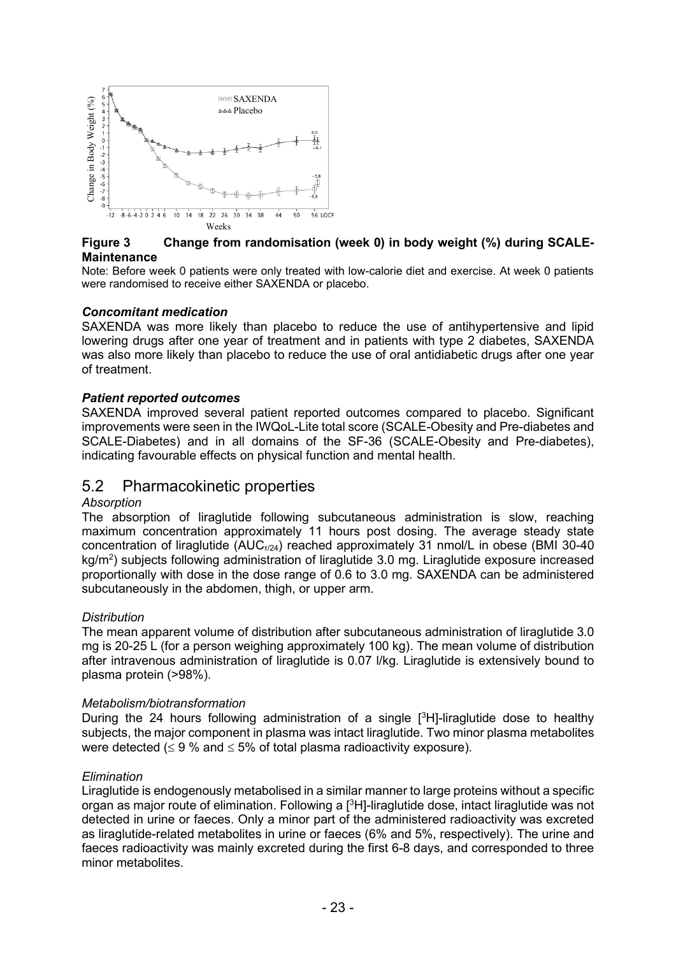

### **Figure 3 Change from randomisation (week 0) in body weight (%) during SCALE-Maintenance**

Note: Before week 0 patients were only treated with low-calorie diet and exercise. At week 0 patients were randomised to receive either SAXENDA or placebo.

### *Concomitant medication*

SAXENDA was more likely than placebo to reduce the use of antihypertensive and lipid lowering drugs after one year of treatment and in patients with type 2 diabetes, SAXENDA was also more likely than placebo to reduce the use of oral antidiabetic drugs after one year of treatment.

### *Patient reported outcomes*

SAXENDA improved several patient reported outcomes compared to placebo. Significant improvements were seen in the IWQoL-Lite total score (SCALE-Obesity and Pre-diabetes and SCALE-Diabetes) and in all domains of the SF-36 (SCALE-Obesity and Pre-diabetes), indicating favourable effects on physical function and mental health.

## 5.2 Pharmacokinetic properties

### *Absorption*

The absorption of liraglutide following subcutaneous administration is slow, reaching maximum concentration approximately 11 hours post dosing. The average steady state concentration of liraglutide  $(AUC_{T/24})$  reached approximately 31 nmol/L in obese (BMI 30-40  $kg/m<sup>2</sup>$ ) subjects following administration of liraglutide 3.0 mg. Liraglutide exposure increased proportionally with dose in the dose range of 0.6 to 3.0 mg. SAXENDA can be administered subcutaneously in the abdomen, thigh, or upper arm.

### *Distribution*

The mean apparent volume of distribution after subcutaneous administration of liraglutide 3.0 mg is 20-25 L (for a person weighing approximately 100 kg). The mean volume of distribution after intravenous administration of liraglutide is 0.07 l/kg. Liraglutide is extensively bound to plasma protein (>98%).

### *Metabolism/biotransformation*

During the 24 hours following administration of a single  $[3H]$ -liraglutide dose to healthy subjects, the major component in plasma was intact liraglutide. Two minor plasma metabolites were detected ( $\leq$  9 % and  $\leq$  5% of total plasma radioactivity exposure).

### *Elimination*

Liraglutide is endogenously metabolised in a similar manner to large proteins without a specific organ as major route of elimination. Following a  $[^3H]$ -liraglutide dose, intact liraglutide was not detected in urine or faeces. Only a minor part of the administered radioactivity was excreted as liraglutide-related metabolites in urine or faeces (6% and 5%, respectively). The urine and faeces radioactivity was mainly excreted during the first 6-8 days, and corresponded to three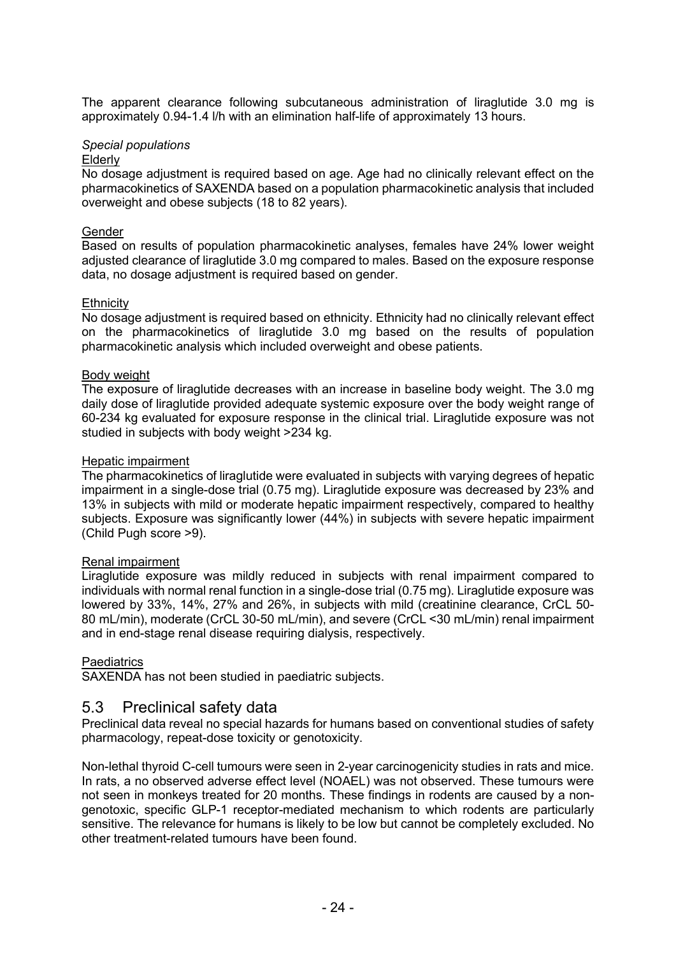The apparent clearance following subcutaneous administration of liraglutide 3.0 mg is approximately 0.94-1.4 l/h with an elimination half-life of approximately 13 hours.

### *Special populations*

### Elderly

No dosage adjustment is required based on age. Age had no clinically relevant effect on the pharmacokinetics of SAXENDA based on a population pharmacokinetic analysis that included overweight and obese subjects (18 to 82 years).

### Gender

Based on results of population pharmacokinetic analyses, females have 24% lower weight adjusted clearance of liraglutide 3.0 mg compared to males. Based on the exposure response data, no dosage adjustment is required based on gender.

### **Ethnicity**

No dosage adjustment is required based on ethnicity. Ethnicity had no clinically relevant effect on the pharmacokinetics of liraglutide 3.0 mg based on the results of population pharmacokinetic analysis which included overweight and obese patients.

### Body weight

The exposure of liraglutide decreases with an increase in baseline body weight. The 3.0 mg daily dose of liraglutide provided adequate systemic exposure over the body weight range of 60-234 kg evaluated for exposure response in the clinical trial. Liraglutide exposure was not studied in subjects with body weight >234 kg.

### Hepatic impairment

The pharmacokinetics of liraglutide were evaluated in subjects with varying degrees of hepatic impairment in a single-dose trial (0.75 mg). Liraglutide exposure was decreased by 23% and 13% in subjects with mild or moderate hepatic impairment respectively, compared to healthy subjects. Exposure was significantly lower (44%) in subjects with severe hepatic impairment (Child Pugh score >9).

### Renal impairment

Liraglutide exposure was mildly reduced in subjects with renal impairment compared to individuals with normal renal function in a single-dose trial (0.75 mg). Liraglutide exposure was lowered by 33%, 14%, 27% and 26%, in subjects with mild (creatinine clearance, CrCL 50- 80 mL/min), moderate (CrCL 30-50 mL/min), and severe (CrCL <30 mL/min) renal impairment and in end-stage renal disease requiring dialysis, respectively.

### **Paediatrics**

SAXENDA has not been studied in paediatric subjects.

### 5.3 Preclinical safety data

Preclinical data reveal no special hazards for humans based on conventional studies of safety pharmacology, repeat-dose toxicity or genotoxicity.

Non-lethal thyroid C-cell tumours were seen in 2-year carcinogenicity studies in rats and mice. In rats, a no observed adverse effect level (NOAEL) was not observed. These tumours were not seen in monkeys treated for 20 months. These findings in rodents are caused by a nongenotoxic, specific GLP-1 receptor-mediated mechanism to which rodents are particularly sensitive. The relevance for humans is likely to be low but cannot be completely excluded. No other treatment-related tumours have been found.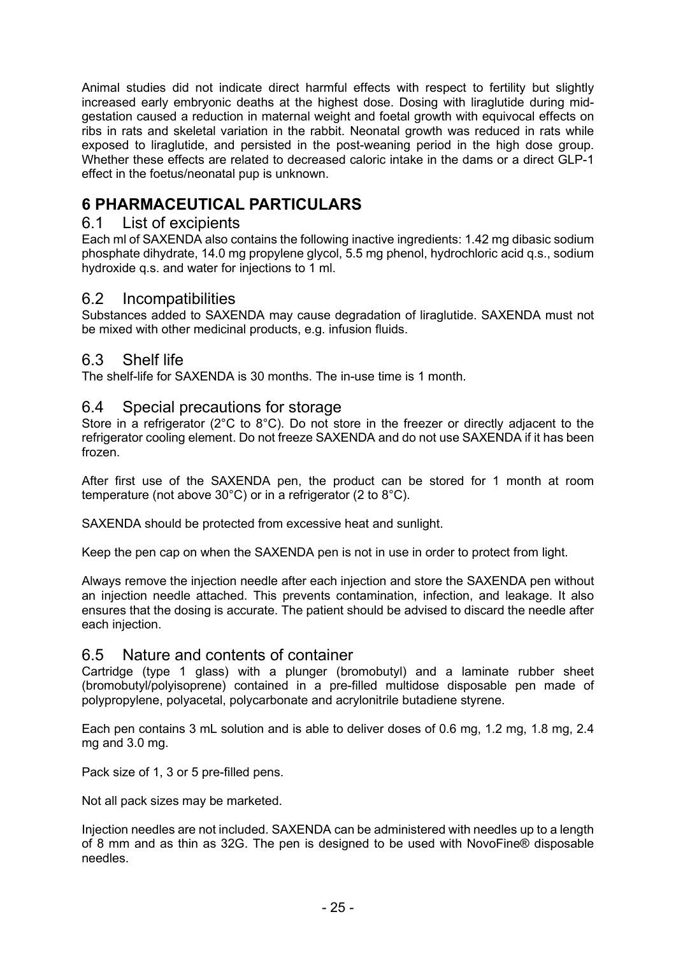Animal studies did not indicate direct harmful effects with respect to fertility but slightly increased early embryonic deaths at the highest dose. Dosing with liraglutide during midgestation caused a reduction in maternal weight and foetal growth with equivocal effects on ribs in rats and skeletal variation in the rabbit. Neonatal growth was reduced in rats while exposed to liraglutide, and persisted in the post-weaning period in the high dose group. Whether these effects are related to decreased caloric intake in the dams or a direct GLP-1 effect in the foetus/neonatal pup is unknown.

# **6 PHARMACEUTICAL PARTICULARS**

## 6.1 List of excipients

Each ml of SAXENDA also contains the following inactive ingredients: 1.42 mg dibasic sodium phosphate dihydrate, 14.0 mg propylene glycol, 5.5 mg phenol, hydrochloric acid q.s., sodium hydroxide q.s. and water for injections to 1 ml.

## 6.2 Incompatibilities

Substances added to SAXENDA may cause degradation of liraglutide. SAXENDA must not be mixed with other medicinal products, e.g. infusion fluids.

## 6.3 Shelf life

The shelf-life for SAXENDA is 30 months. The in-use time is 1 month.

## 6.4 Special precautions for storage

Store in a refrigerator (2°C to 8°C). Do not store in the freezer or directly adjacent to the refrigerator cooling element. Do not freeze SAXENDA and do not use SAXENDA if it has been frozen.

After first use of the SAXENDA pen, the product can be stored for 1 month at room temperature (not above 30°C) or in a refrigerator (2 to 8°C).

SAXENDA should be protected from excessive heat and sunlight.

Keep the pen cap on when the SAXENDA pen is not in use in order to protect from light.

Always remove the injection needle after each injection and store the SAXENDA pen without an injection needle attached. This prevents contamination, infection, and leakage. It also ensures that the dosing is accurate. The patient should be advised to discard the needle after each injection.

## 6.5 Nature and contents of container

Cartridge (type 1 glass) with a plunger (bromobutyl) and a laminate rubber sheet (bromobutyl/polyisoprene) contained in a pre-filled multidose disposable pen made of polypropylene, polyacetal, polycarbonate and acrylonitrile butadiene styrene.

Each pen contains 3 mL solution and is able to deliver doses of 0.6 mg, 1.2 mg, 1.8 mg, 2.4 mg and 3.0 mg.

Pack size of 1, 3 or 5 pre-filled pens.

Not all pack sizes may be marketed.

Injection needles are not included. SAXENDA can be administered with needles up to a length of 8 mm and as thin as 32G. The pen is designed to be used with NovoFine® disposable needles.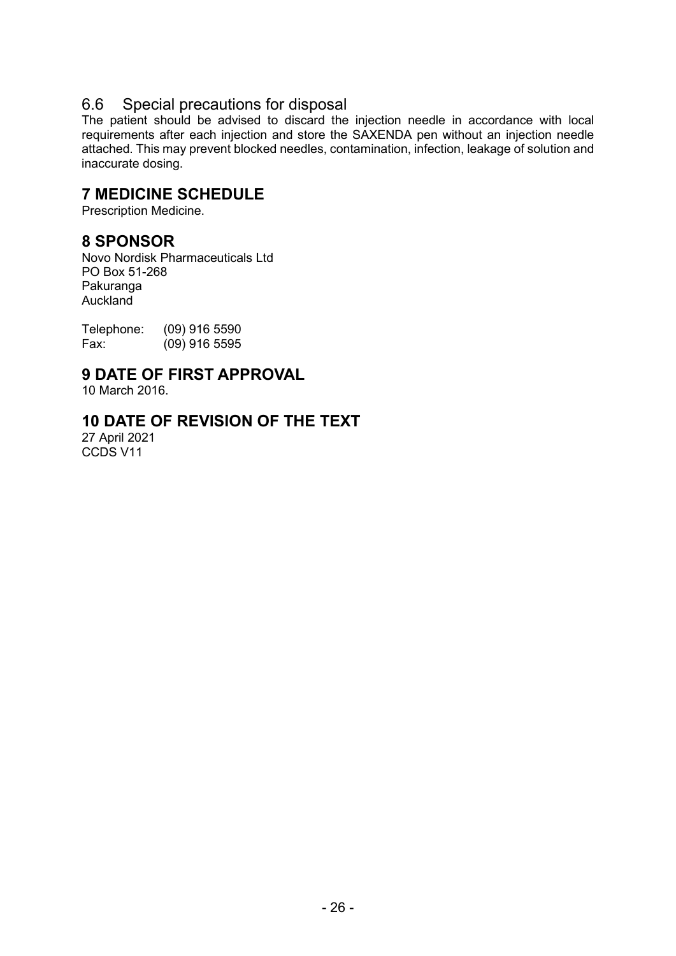## 6.6 Special precautions for disposal

The patient should be advised to discard the injection needle in accordance with local requirements after each injection and store the SAXENDA pen without an injection needle attached. This may prevent blocked needles, contamination, infection, leakage of solution and inaccurate dosing.

# **7 MEDICINE SCHEDULE**

Prescription Medicine.

## **8 SPONSOR**

Novo Nordisk Pharmaceuticals Ltd PO Box 51-268 Pakuranga Auckland

Telephone: (09) 916 5590<br>Fax: (09) 916 5595  $(09)$  916 5595

# **9 DATE OF FIRST APPROVAL**

10 March 2016.

## **10 DATE OF REVISION OF THE TEXT**

27 April 2021 CCDS V11